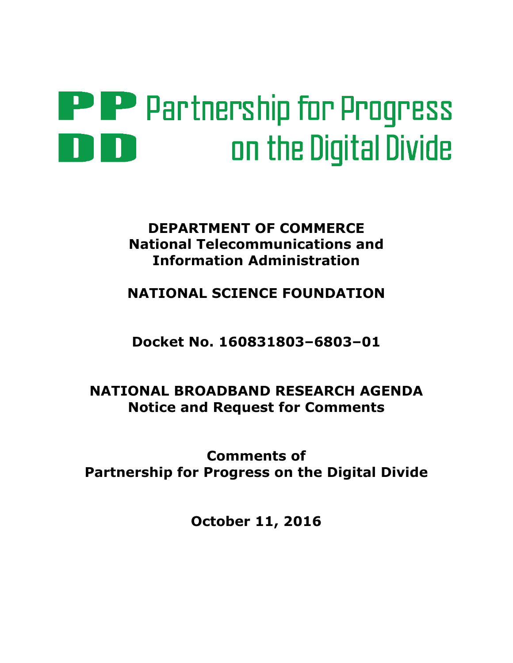# **PPP** Partnership for Progress on the Digital Divide

# DEPARTMENT OF COMMERCE National Telecommunications and Information Administration

NATIONAL SCIENCE FOUNDATION

Docket No. 160831803–6803–01

# NATIONAL BROADBAND RESEARCH AGENDA Notice and Request for Comments

Comments of Partnership for Progress on the Digital Divide

October 11, 2016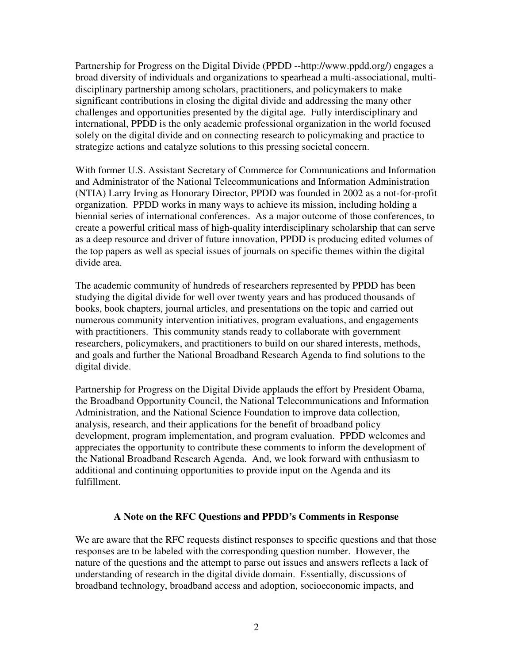Partnership for Progress on the Digital Divide (PPDD --http://www.ppdd.org/) engages a broad diversity of individuals and organizations to spearhead a multi-associational, multidisciplinary partnership among scholars, practitioners, and policymakers to make significant contributions in closing the digital divide and addressing the many other challenges and opportunities presented by the digital age. Fully interdisciplinary and international, PPDD is the only academic professional organization in the world focused solely on the digital divide and on connecting research to policymaking and practice to strategize actions and catalyze solutions to this pressing societal concern.

With former U.S. Assistant Secretary of Commerce for Communications and Information and Administrator of the National Telecommunications and Information Administration (NTIA) Larry Irving as Honorary Director, PPDD was founded in 2002 as a not-for-profit organization. PPDD works in many ways to achieve its mission, including holding a biennial series of international conferences. As a major outcome of those conferences, to create a powerful critical mass of high-quality interdisciplinary scholarship that can serve as a deep resource and driver of future innovation, PPDD is producing edited volumes of the top papers as well as special issues of journals on specific themes within the digital divide area.

The academic community of hundreds of researchers represented by PPDD has been studying the digital divide for well over twenty years and has produced thousands of books, book chapters, journal articles, and presentations on the topic and carried out numerous community intervention initiatives, program evaluations, and engagements with practitioners. This community stands ready to collaborate with government researchers, policymakers, and practitioners to build on our shared interests, methods, and goals and further the National Broadband Research Agenda to find solutions to the digital divide.

Partnership for Progress on the Digital Divide applauds the effort by President Obama, the Broadband Opportunity Council, the National Telecommunications and Information Administration, and the National Science Foundation to improve data collection, analysis, research, and their applications for the benefit of broadband policy development, program implementation, and program evaluation. PPDD welcomes and appreciates the opportunity to contribute these comments to inform the development of the National Broadband Research Agenda. And, we look forward with enthusiasm to additional and continuing opportunities to provide input on the Agenda and its fulfillment.

#### **A Note on the RFC Questions and PPDD's Comments in Response**

We are aware that the RFC requests distinct responses to specific questions and that those responses are to be labeled with the corresponding question number. However, the nature of the questions and the attempt to parse out issues and answers reflects a lack of understanding of research in the digital divide domain. Essentially, discussions of broadband technology, broadband access and adoption, socioeconomic impacts, and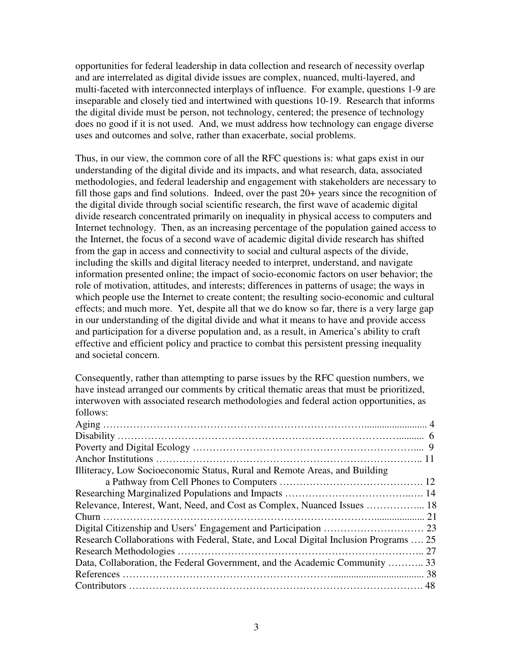opportunities for federal leadership in data collection and research of necessity overlap and are interrelated as digital divide issues are complex, nuanced, multi-layered, and multi-faceted with interconnected interplays of influence. For example, questions 1-9 are inseparable and closely tied and intertwined with questions 10-19. Research that informs the digital divide must be person, not technology, centered; the presence of technology does no good if it is not used. And, we must address how technology can engage diverse uses and outcomes and solve, rather than exacerbate, social problems.

Thus, in our view, the common core of all the RFC questions is: what gaps exist in our understanding of the digital divide and its impacts, and what research, data, associated methodologies, and federal leadership and engagement with stakeholders are necessary to fill those gaps and find solutions. Indeed, over the past 20+ years since the recognition of the digital divide through social scientific research, the first wave of academic digital divide research concentrated primarily on inequality in physical access to computers and Internet technology. Then, as an increasing percentage of the population gained access to the Internet, the focus of a second wave of academic digital divide research has shifted from the gap in access and connectivity to social and cultural aspects of the divide, including the skills and digital literacy needed to interpret, understand, and navigate information presented online; the impact of socio-economic factors on user behavior; the role of motivation, attitudes, and interests; differences in patterns of usage; the ways in which people use the Internet to create content; the resulting socio-economic and cultural effects; and much more. Yet, despite all that we do know so far, there is a very large gap in our understanding of the digital divide and what it means to have and provide access and participation for a diverse population and, as a result, in America's ability to craft effective and efficient policy and practice to combat this persistent pressing inequality and societal concern.

Consequently, rather than attempting to parse issues by the RFC question numbers, we have instead arranged our comments by critical thematic areas that must be prioritized, interwoven with associated research methodologies and federal action opportunities, as follows:

| Illiteracy, Low Socioeconomic Status, Rural and Remote Areas, and Building            |  |
|---------------------------------------------------------------------------------------|--|
|                                                                                       |  |
|                                                                                       |  |
| Relevance, Interest, Want, Need, and Cost as Complex, Nuanced Issues  18              |  |
|                                                                                       |  |
|                                                                                       |  |
| Research Collaborations with Federal, State, and Local Digital Inclusion Programs  25 |  |
|                                                                                       |  |
| Data, Collaboration, the Federal Government, and the Academic Community  33           |  |
|                                                                                       |  |
|                                                                                       |  |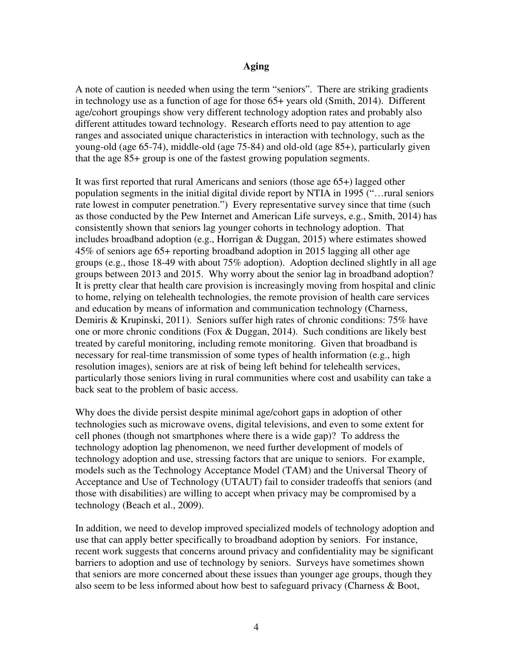#### **Aging**

A note of caution is needed when using the term "seniors". There are striking gradients in technology use as a function of age for those 65+ years old (Smith, 2014). Different age/cohort groupings show very different technology adoption rates and probably also different attitudes toward technology. Research efforts need to pay attention to age ranges and associated unique characteristics in interaction with technology, such as the young-old (age 65-74), middle-old (age 75-84) and old-old (age 85+), particularly given that the age 85+ group is one of the fastest growing population segments.

It was first reported that rural Americans and seniors (those age 65+) lagged other population segments in the initial digital divide report by NTIA in 1995 ("…rural seniors rate lowest in computer penetration.") Every representative survey since that time (such as those conducted by the Pew Internet and American Life surveys, e.g., Smith, 2014) has consistently shown that seniors lag younger cohorts in technology adoption. That includes broadband adoption (e.g., Horrigan & Duggan, 2015) where estimates showed 45% of seniors age 65+ reporting broadband adoption in 2015 lagging all other age groups (e.g., those 18-49 with about 75% adoption). Adoption declined slightly in all age groups between 2013 and 2015. Why worry about the senior lag in broadband adoption? It is pretty clear that health care provision is increasingly moving from hospital and clinic to home, relying on telehealth technologies, the remote provision of health care services and education by means of information and communication technology (Charness, Demiris & Krupinski, 2011). Seniors suffer high rates of chronic conditions: 75% have one or more chronic conditions (Fox & Duggan, 2014). Such conditions are likely best treated by careful monitoring, including remote monitoring. Given that broadband is necessary for real-time transmission of some types of health information (e.g., high resolution images), seniors are at risk of being left behind for telehealth services, particularly those seniors living in rural communities where cost and usability can take a back seat to the problem of basic access.

Why does the divide persist despite minimal age/cohort gaps in adoption of other technologies such as microwave ovens, digital televisions, and even to some extent for cell phones (though not smartphones where there is a wide gap)? To address the technology adoption lag phenomenon, we need further development of models of technology adoption and use, stressing factors that are unique to seniors. For example, models such as the Technology Acceptance Model (TAM) and the Universal Theory of Acceptance and Use of Technology (UTAUT) fail to consider tradeoffs that seniors (and those with disabilities) are willing to accept when privacy may be compromised by a technology (Beach et al., 2009).

In addition, we need to develop improved specialized models of technology adoption and use that can apply better specifically to broadband adoption by seniors. For instance, recent work suggests that concerns around privacy and confidentiality may be significant barriers to adoption and use of technology by seniors. Surveys have sometimes shown that seniors are more concerned about these issues than younger age groups, though they also seem to be less informed about how best to safeguard privacy (Charness & Boot,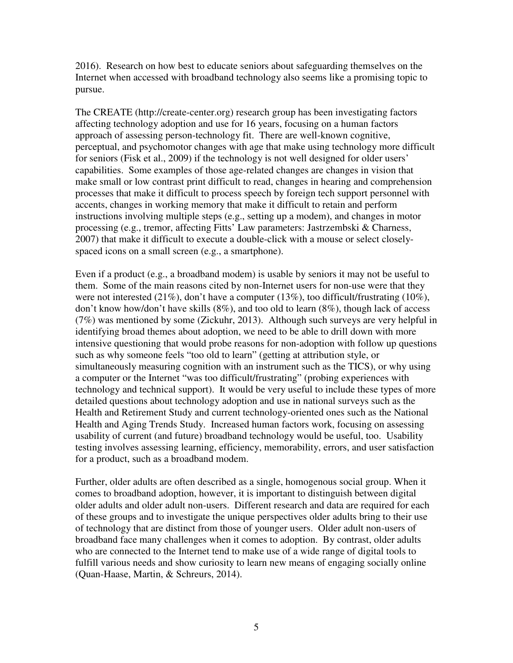2016). Research on how best to educate seniors about safeguarding themselves on the Internet when accessed with broadband technology also seems like a promising topic to pursue.

The CREATE (http://create-center.org) research group has been investigating factors affecting technology adoption and use for 16 years, focusing on a human factors approach of assessing person-technology fit. There are well-known cognitive, perceptual, and psychomotor changes with age that make using technology more difficult for seniors (Fisk et al., 2009) if the technology is not well designed for older users' capabilities. Some examples of those age-related changes are changes in vision that make small or low contrast print difficult to read, changes in hearing and comprehension processes that make it difficult to process speech by foreign tech support personnel with accents, changes in working memory that make it difficult to retain and perform instructions involving multiple steps (e.g., setting up a modem), and changes in motor processing (e.g., tremor, affecting Fitts' Law parameters: Jastrzembski & Charness, 2007) that make it difficult to execute a double-click with a mouse or select closelyspaced icons on a small screen (e.g., a smartphone).

Even if a product (e.g., a broadband modem) is usable by seniors it may not be useful to them. Some of the main reasons cited by non-Internet users for non-use were that they were not interested (21%), don't have a computer (13%), too difficult/frustrating (10%), don't know how/don't have skills (8%), and too old to learn (8%), though lack of access (7%) was mentioned by some (Zickuhr, 2013). Although such surveys are very helpful in identifying broad themes about adoption, we need to be able to drill down with more intensive questioning that would probe reasons for non-adoption with follow up questions such as why someone feels "too old to learn" (getting at attribution style, or simultaneously measuring cognition with an instrument such as the TICS), or why using a computer or the Internet "was too difficult/frustrating" (probing experiences with technology and technical support). It would be very useful to include these types of more detailed questions about technology adoption and use in national surveys such as the Health and Retirement Study and current technology-oriented ones such as the National Health and Aging Trends Study. Increased human factors work, focusing on assessing usability of current (and future) broadband technology would be useful, too. Usability testing involves assessing learning, efficiency, memorability, errors, and user satisfaction for a product, such as a broadband modem.

Further, older adults are often described as a single, homogenous social group. When it comes to broadband adoption, however, it is important to distinguish between digital older adults and older adult non-users. Different research and data are required for each of these groups and to investigate the unique perspectives older adults bring to their use of technology that are distinct from those of younger users. Older adult non-users of broadband face many challenges when it comes to adoption. By contrast, older adults who are connected to the Internet tend to make use of a wide range of digital tools to fulfill various needs and show curiosity to learn new means of engaging socially online (Quan-Haase, Martin, & Schreurs, 2014).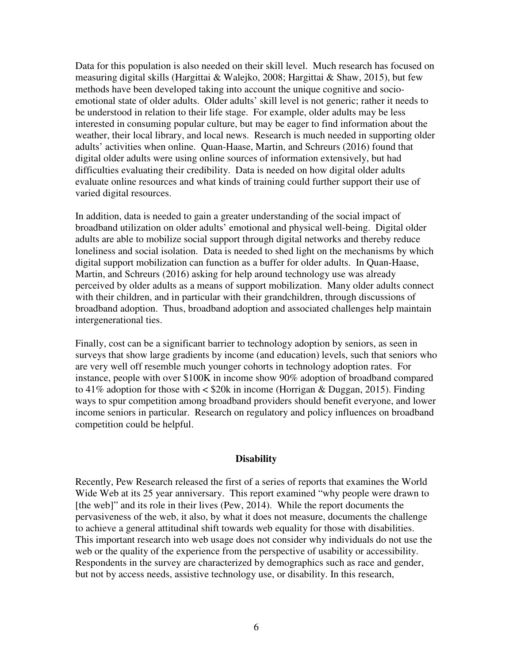Data for this population is also needed on their skill level. Much research has focused on measuring digital skills (Hargittai & Walejko, 2008; Hargittai & Shaw, 2015), but few methods have been developed taking into account the unique cognitive and socioemotional state of older adults. Older adults' skill level is not generic; rather it needs to be understood in relation to their life stage. For example, older adults may be less interested in consuming popular culture, but may be eager to find information about the weather, their local library, and local news. Research is much needed in supporting older adults' activities when online. Quan-Haase, Martin, and Schreurs (2016) found that digital older adults were using online sources of information extensively, but had difficulties evaluating their credibility. Data is needed on how digital older adults evaluate online resources and what kinds of training could further support their use of varied digital resources.

In addition, data is needed to gain a greater understanding of the social impact of broadband utilization on older adults' emotional and physical well-being. Digital older adults are able to mobilize social support through digital networks and thereby reduce loneliness and social isolation. Data is needed to shed light on the mechanisms by which digital support mobilization can function as a buffer for older adults. In Quan-Haase, Martin, and Schreurs (2016) asking for help around technology use was already perceived by older adults as a means of support mobilization. Many older adults connect with their children, and in particular with their grandchildren, through discussions of broadband adoption. Thus, broadband adoption and associated challenges help maintain intergenerational ties.

Finally, cost can be a significant barrier to technology adoption by seniors, as seen in surveys that show large gradients by income (and education) levels, such that seniors who are very well off resemble much younger cohorts in technology adoption rates. For instance, people with over \$100K in income show 90% adoption of broadband compared to 41% adoption for those with  $\lt$  \$20k in income (Horrigan & Duggan, 2015). Finding ways to spur competition among broadband providers should benefit everyone, and lower income seniors in particular. Research on regulatory and policy influences on broadband competition could be helpful.

#### **Disability**

Recently, Pew Research released the first of a series of reports that examines the World Wide Web at its 25 year anniversary. This report examined "why people were drawn to [the web]" and its role in their lives (Pew, 2014). While the report documents the pervasiveness of the web, it also, by what it does not measure, documents the challenge to achieve a general attitudinal shift towards web equality for those with disabilities. This important research into web usage does not consider why individuals do not use the web or the quality of the experience from the perspective of usability or accessibility. Respondents in the survey are characterized by demographics such as race and gender, but not by access needs, assistive technology use, or disability. In this research,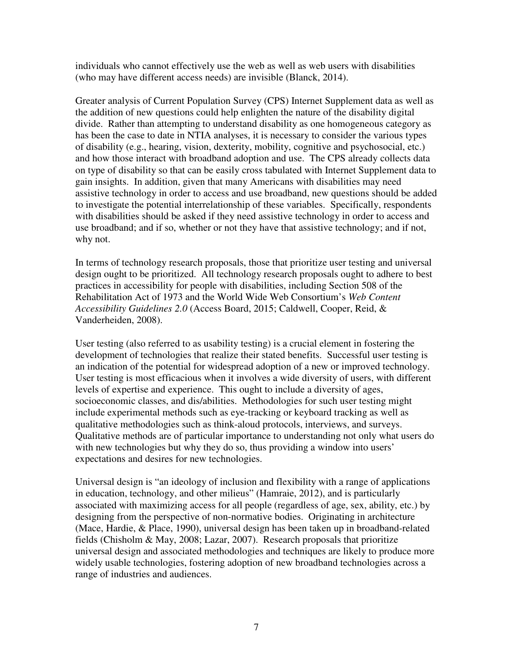individuals who cannot effectively use the web as well as web users with disabilities (who may have different access needs) are invisible (Blanck, 2014).

Greater analysis of Current Population Survey (CPS) Internet Supplement data as well as the addition of new questions could help enlighten the nature of the disability digital divide. Rather than attempting to understand disability as one homogeneous category as has been the case to date in NTIA analyses, it is necessary to consider the various types of disability (e.g., hearing, vision, dexterity, mobility, cognitive and psychosocial, etc.) and how those interact with broadband adoption and use. The CPS already collects data on type of disability so that can be easily cross tabulated with Internet Supplement data to gain insights. In addition, given that many Americans with disabilities may need assistive technology in order to access and use broadband, new questions should be added to investigate the potential interrelationship of these variables. Specifically, respondents with disabilities should be asked if they need assistive technology in order to access and use broadband; and if so, whether or not they have that assistive technology; and if not, why not.

In terms of technology research proposals, those that prioritize user testing and universal design ought to be prioritized. All technology research proposals ought to adhere to best practices in accessibility for people with disabilities, including Section 508 of the Rehabilitation Act of 1973 and the World Wide Web Consortium's *Web Content Accessibility Guidelines 2.0* (Access Board, 2015; Caldwell, Cooper, Reid, & Vanderheiden, 2008).

User testing (also referred to as usability testing) is a crucial element in fostering the development of technologies that realize their stated benefits. Successful user testing is an indication of the potential for widespread adoption of a new or improved technology. User testing is most efficacious when it involves a wide diversity of users, with different levels of expertise and experience. This ought to include a diversity of ages, socioeconomic classes, and dis/abilities. Methodologies for such user testing might include experimental methods such as eye-tracking or keyboard tracking as well as qualitative methodologies such as think-aloud protocols, interviews, and surveys. Qualitative methods are of particular importance to understanding not only what users do with new technologies but why they do so, thus providing a window into users' expectations and desires for new technologies.

Universal design is "an ideology of inclusion and flexibility with a range of applications in education, technology, and other milieus" (Hamraie, 2012), and is particularly associated with maximizing access for all people (regardless of age, sex, ability, etc.) by designing from the perspective of non-normative bodies. Originating in architecture (Mace, Hardie, & Place, 1990), universal design has been taken up in broadband-related fields (Chisholm & May, 2008; Lazar, 2007). Research proposals that prioritize universal design and associated methodologies and techniques are likely to produce more widely usable technologies, fostering adoption of new broadband technologies across a range of industries and audiences.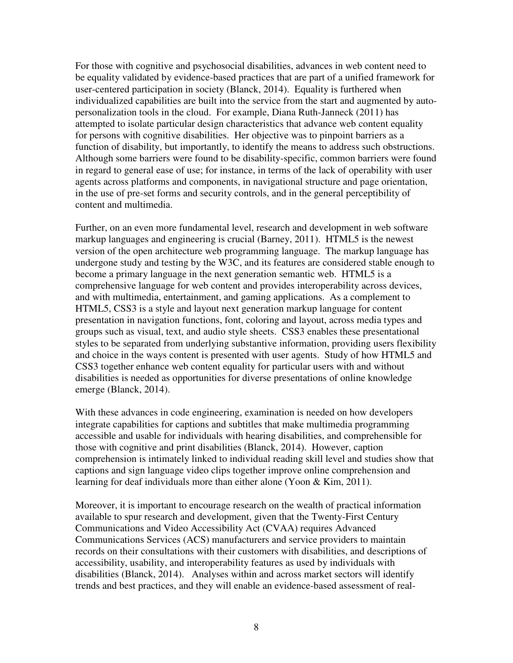For those with cognitive and psychosocial disabilities, advances in web content need to be equality validated by evidence-based practices that are part of a unified framework for user-centered participation in society (Blanck, 2014). Equality is furthered when individualized capabilities are built into the service from the start and augmented by autopersonalization tools in the cloud. For example, Diana Ruth-Janneck (2011) has attempted to isolate particular design characteristics that advance web content equality for persons with cognitive disabilities. Her objective was to pinpoint barriers as a function of disability, but importantly, to identify the means to address such obstructions. Although some barriers were found to be disability-specific, common barriers were found in regard to general ease of use; for instance, in terms of the lack of operability with user agents across platforms and components, in navigational structure and page orientation, in the use of pre-set forms and security controls, and in the general perceptibility of content and multimedia.

Further, on an even more fundamental level, research and development in web software markup languages and engineering is crucial (Barney, 2011). HTML5 is the newest version of the open architecture web programming language. The markup language has undergone study and testing by the W3C, and its features are considered stable enough to become a primary language in the next generation semantic web. HTML5 is a comprehensive language for web content and provides interoperability across devices, and with multimedia, entertainment, and gaming applications. As a complement to HTML5, CSS3 is a style and layout next generation markup language for content presentation in navigation functions, font, coloring and layout, across media types and groups such as visual, text, and audio style sheets. CSS3 enables these presentational styles to be separated from underlying substantive information, providing users flexibility and choice in the ways content is presented with user agents. Study of how HTML5 and CSS3 together enhance web content equality for particular users with and without disabilities is needed as opportunities for diverse presentations of online knowledge emerge (Blanck, 2014).

With these advances in code engineering, examination is needed on how developers integrate capabilities for captions and subtitles that make multimedia programming accessible and usable for individuals with hearing disabilities, and comprehensible for those with cognitive and print disabilities (Blanck, 2014). However, caption comprehension is intimately linked to individual reading skill level and studies show that captions and sign language video clips together improve online comprehension and learning for deaf individuals more than either alone (Yoon & Kim, 2011).

Moreover, it is important to encourage research on the wealth of practical information available to spur research and development, given that the Twenty-First Century Communications and Video Accessibility Act (CVAA) requires Advanced Communications Services (ACS) manufacturers and service providers to maintain records on their consultations with their customers with disabilities, and descriptions of accessibility, usability, and interoperability features as used by individuals with disabilities (Blanck, 2014). Analyses within and across market sectors will identify trends and best practices, and they will enable an evidence-based assessment of real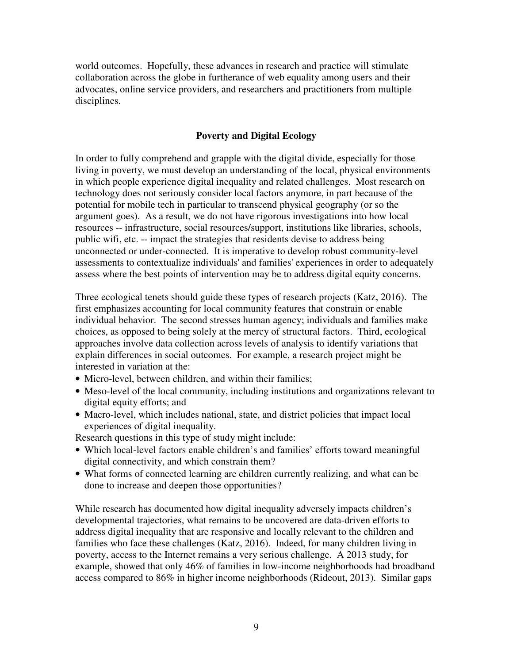world outcomes. Hopefully, these advances in research and practice will stimulate collaboration across the globe in furtherance of web equality among users and their advocates, online service providers, and researchers and practitioners from multiple disciplines.

# **Poverty and Digital Ecology**

In order to fully comprehend and grapple with the digital divide, especially for those living in poverty, we must develop an understanding of the local, physical environments in which people experience digital inequality and related challenges. Most research on technology does not seriously consider local factors anymore, in part because of the potential for mobile tech in particular to transcend physical geography (or so the argument goes). As a result, we do not have rigorous investigations into how local resources -- infrastructure, social resources/support, institutions like libraries, schools, public wifi, etc. -- impact the strategies that residents devise to address being unconnected or under-connected. It is imperative to develop robust community-level assessments to contextualize individuals' and families' experiences in order to adequately assess where the best points of intervention may be to address digital equity concerns.

Three ecological tenets should guide these types of research projects (Katz, 2016). The first emphasizes accounting for local community features that constrain or enable individual behavior. The second stresses human agency; individuals and families make choices, as opposed to being solely at the mercy of structural factors. Third, ecological approaches involve data collection across levels of analysis to identify variations that explain differences in social outcomes. For example, a research project might be interested in variation at the:

- Micro-level, between children, and within their families:
- Meso-level of the local community, including institutions and organizations relevant to digital equity efforts; and
- Macro-level, which includes national, state, and district policies that impact local experiences of digital inequality.

Research questions in this type of study might include:

- Which local-level factors enable children's and families' efforts toward meaningful digital connectivity, and which constrain them?
- What forms of connected learning are children currently realizing, and what can be done to increase and deepen those opportunities?

While research has documented how digital inequality adversely impacts children's developmental trajectories, what remains to be uncovered are data-driven efforts to address digital inequality that are responsive and locally relevant to the children and families who face these challenges (Katz, 2016). Indeed, for many children living in poverty, access to the Internet remains a very serious challenge. A 2013 study, for example, showed that only 46% of families in low-income neighborhoods had broadband access compared to 86% in higher income neighborhoods (Rideout, 2013). Similar gaps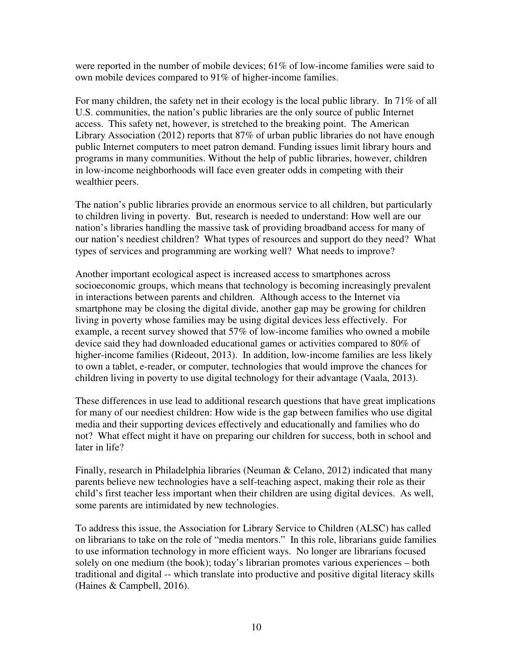were reported in the number of mobile devices;  $61\%$  of low-income families were said to own mobile devices compared to 91% of higher-income families.

For many children, the safety net in their ecology is the local public library. In 71% of all U.S. communities, the nation's public libraries are the only source of public Internet access. This safety net, however, is stretched to the breaking point. The American Library Association (2012) reports that 87% of urban public libraries do not have enough public Internet computers to meet patron demand. Funding issues limit library hours and programs in many communities. Without the help of public libraries, however, children in low-income neighborhoods will face even greater odds in competing with their wealthier peers.

The nation's public libraries provide an enormous service to all children, but particularly to children living in poverty. But, research is needed to understand: How well are our nation's libraries handling the massive task of providing broadband access for many of our nation's neediest children? What types of resources and support do they need? What types of services and programming are working well? What needs to improve?

Another important ecological aspect is increased access to smartphones across socioeconomic groups, which means that technology is becoming increasingly prevalent in interactions between parents and children. Although access to the Internet via smartphone may be closing the digital divide, another gap may be growing for children living in poverty whose families may be using digital devices less effectively. For example, a recent survey showed that 57% of low-income families who owned a mobile device said they had downloaded educational games or activities compared to 80% of higher-income families (Rideout, 2013). In addition, low-income families are less likely to own a tablet, e-reader, or computer, technologies that would improve the chances for children living in poverty to use digital technology for their advantage (Vaala, 2013).

These differences in use lead to additional research questions that have great implications for many of our neediest children: How wide is the gap between families who use digital media and their supporting devices effectively and educationally and families who do not? What effect might it have on preparing our children for success, both in school and later in life?

Finally, research in Philadelphia libraries (Neuman & Celano, 2012) indicated that many parents believe new technologies have a self-teaching aspect, making their role as their child's first teacher less important when their children are using digital devices. As well, some parents are intimidated by new technologies.

To address this issue, the Association for Library Service to Children (ALSC) has called on librarians to take on the role of "media mentors." In this role, librarians guide families to use information technology in more efficient ways. No longer are librarians focused solely on one medium (the book); today's librarian promotes various experiences – both traditional and digital -- which translate into productive and positive digital literacy skills (Haines & Campbell, 2016).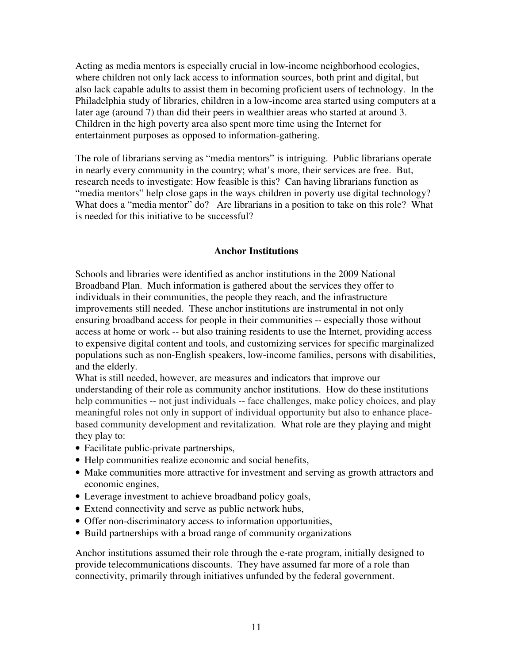Acting as media mentors is especially crucial in low-income neighborhood ecologies, where children not only lack access to information sources, both print and digital, but also lack capable adults to assist them in becoming proficient users of technology. In the Philadelphia study of libraries, children in a low-income area started using computers at a later age (around 7) than did their peers in wealthier areas who started at around 3. Children in the high poverty area also spent more time using the Internet for entertainment purposes as opposed to information-gathering.

The role of librarians serving as "media mentors" is intriguing. Public librarians operate in nearly every community in the country; what's more, their services are free. But, research needs to investigate: How feasible is this? Can having librarians function as "media mentors" help close gaps in the ways children in poverty use digital technology? What does a "media mentor" do? Are librarians in a position to take on this role? What is needed for this initiative to be successful?

#### **Anchor Institutions**

Schools and libraries were identified as anchor institutions in the 2009 National Broadband Plan. Much information is gathered about the services they offer to individuals in their communities, the people they reach, and the infrastructure improvements still needed. These anchor institutions are instrumental in not only ensuring broadband access for people in their communities -- especially those without access at home or work -- but also training residents to use the Internet, providing access to expensive digital content and tools, and customizing services for specific marginalized populations such as non-English speakers, low-income families, persons with disabilities, and the elderly.

What is still needed, however, are measures and indicators that improve our

understanding of their role as community anchor institutions. How do these institutions help communities -- not just individuals -- face challenges, make policy choices, and play meaningful roles not only in support of individual opportunity but also to enhance placebased community development and revitalization. What role are they playing and might they play to:

- Facilitate public-private partnerships,
- Help communities realize economic and social benefits,
- Make communities more attractive for investment and serving as growth attractors and economic engines,
- Leverage investment to achieve broadband policy goals,
- Extend connectivity and serve as public network hubs,
- Offer non-discriminatory access to information opportunities,
- Build partnerships with a broad range of community organizations

Anchor institutions assumed their role through the e-rate program, initially designed to provide telecommunications discounts. They have assumed far more of a role than connectivity, primarily through initiatives unfunded by the federal government.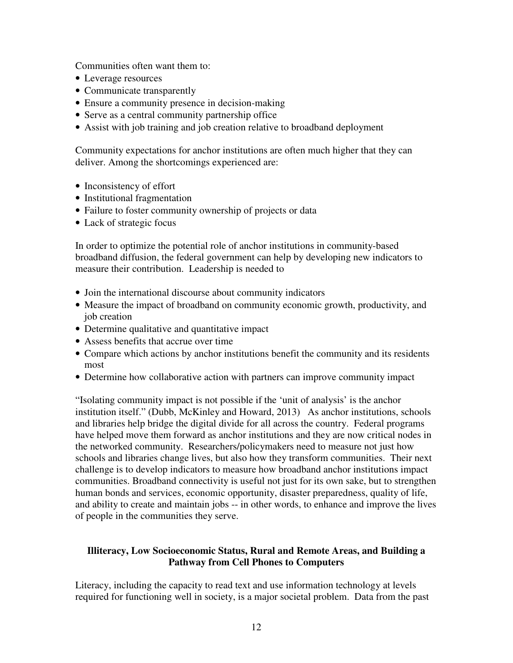Communities often want them to:

- Leverage resources
- Communicate transparently
- Ensure a community presence in decision-making
- Serve as a central community partnership office
- Assist with job training and job creation relative to broadband deployment

Community expectations for anchor institutions are often much higher that they can deliver. Among the shortcomings experienced are:

- Inconsistency of effort
- Institutional fragmentation
- Failure to foster community ownership of projects or data
- Lack of strategic focus

In order to optimize the potential role of anchor institutions in community-based broadband diffusion, the federal government can help by developing new indicators to measure their contribution. Leadership is needed to

- Join the international discourse about community indicators
- Measure the impact of broadband on community economic growth, productivity, and job creation
- Determine qualitative and quantitative impact
- Assess benefits that accrue over time
- Compare which actions by anchor institutions benefit the community and its residents most
- Determine how collaborative action with partners can improve community impact

"Isolating community impact is not possible if the 'unit of analysis' is the anchor institution itself." (Dubb, McKinley and Howard, 2013) As anchor institutions, schools and libraries help bridge the digital divide for all across the country. Federal programs have helped move them forward as anchor institutions and they are now critical nodes in the networked community. Researchers/policymakers need to measure not just how schools and libraries change lives, but also how they transform communities. Their next challenge is to develop indicators to measure how broadband anchor institutions impact communities. Broadband connectivity is useful not just for its own sake, but to strengthen human bonds and services, economic opportunity, disaster preparedness, quality of life, and ability to create and maintain jobs -- in other words, to enhance and improve the lives of people in the communities they serve.

# **Illiteracy, Low Socioeconomic Status, Rural and Remote Areas, and Building a Pathway from Cell Phones to Computers**

Literacy, including the capacity to read text and use information technology at levels required for functioning well in society, is a major societal problem. Data from the past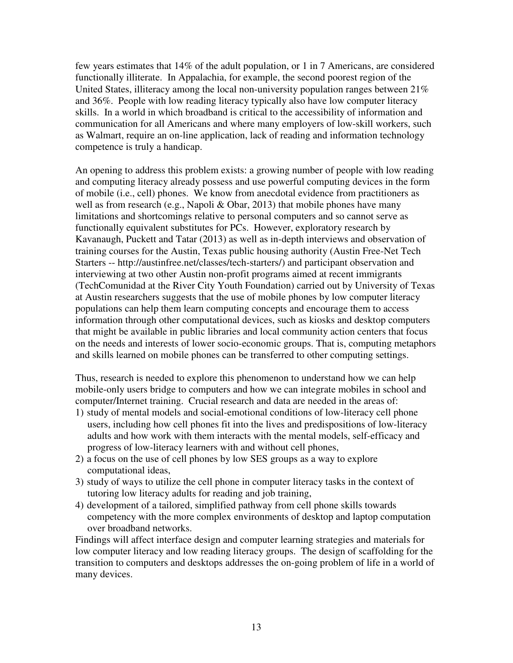few years estimates that 14% of the adult population, or 1 in 7 Americans, are considered functionally illiterate. In Appalachia, for example, the second poorest region of the United States, illiteracy among the local non-university population ranges between 21% and 36%. People with low reading literacy typically also have low computer literacy skills. In a world in which broadband is critical to the accessibility of information and communication for all Americans and where many employers of low-skill workers, such as Walmart, require an on-line application, lack of reading and information technology competence is truly a handicap.

An opening to address this problem exists: a growing number of people with low reading and computing literacy already possess and use powerful computing devices in the form of mobile (i.e., cell) phones. We know from anecdotal evidence from practitioners as well as from research (e.g., Napoli & Obar, 2013) that mobile phones have many limitations and shortcomings relative to personal computers and so cannot serve as functionally equivalent substitutes for PCs. However, exploratory research by Kavanaugh, Puckett and Tatar (2013) as well as in-depth interviews and observation of training courses for the Austin, Texas public housing authority (Austin Free-Net Tech Starters -- http://austinfree.net/classes/tech-starters/) and participant observation and interviewing at two other Austin non-profit programs aimed at recent immigrants (TechComunidad at the River City Youth Foundation) carried out by University of Texas at Austin researchers suggests that the use of mobile phones by low computer literacy populations can help them learn computing concepts and encourage them to access information through other computational devices, such as kiosks and desktop computers that might be available in public libraries and local community action centers that focus on the needs and interests of lower socio-economic groups. That is, computing metaphors and skills learned on mobile phones can be transferred to other computing settings.

Thus, research is needed to explore this phenomenon to understand how we can help mobile-only users bridge to computers and how we can integrate mobiles in school and computer/Internet training. Crucial research and data are needed in the areas of:

- 1) study of mental models and social-emotional conditions of low-literacy cell phone users, including how cell phones fit into the lives and predispositions of low-literacy adults and how work with them interacts with the mental models, self-efficacy and progress of low-literacy learners with and without cell phones,
- 2) a focus on the use of cell phones by low SES groups as a way to explore computational ideas,
- 3) study of ways to utilize the cell phone in computer literacy tasks in the context of tutoring low literacy adults for reading and job training,
- 4) development of a tailored, simplified pathway from cell phone skills towards competency with the more complex environments of desktop and laptop computation over broadband networks.

Findings will affect interface design and computer learning strategies and materials for low computer literacy and low reading literacy groups. The design of scaffolding for the transition to computers and desktops addresses the on-going problem of life in a world of many devices.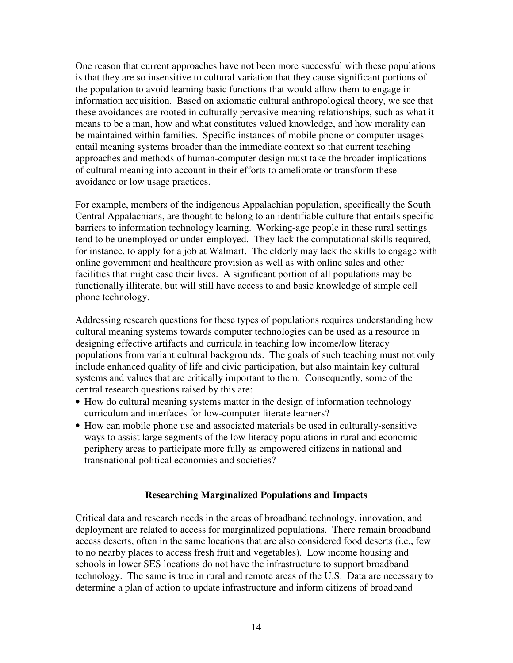One reason that current approaches have not been more successful with these populations is that they are so insensitive to cultural variation that they cause significant portions of the population to avoid learning basic functions that would allow them to engage in information acquisition. Based on axiomatic cultural anthropological theory, we see that these avoidances are rooted in culturally pervasive meaning relationships, such as what it means to be a man, how and what constitutes valued knowledge, and how morality can be maintained within families. Specific instances of mobile phone or computer usages entail meaning systems broader than the immediate context so that current teaching approaches and methods of human-computer design must take the broader implications of cultural meaning into account in their efforts to ameliorate or transform these avoidance or low usage practices.

For example, members of the indigenous Appalachian population, specifically the South Central Appalachians, are thought to belong to an identifiable culture that entails specific barriers to information technology learning. Working-age people in these rural settings tend to be unemployed or under-employed. They lack the computational skills required, for instance, to apply for a job at Walmart. The elderly may lack the skills to engage with online government and healthcare provision as well as with online sales and other facilities that might ease their lives. A significant portion of all populations may be functionally illiterate, but will still have access to and basic knowledge of simple cell phone technology.

Addressing research questions for these types of populations requires understanding how cultural meaning systems towards computer technologies can be used as a resource in designing effective artifacts and curricula in teaching low income/low literacy populations from variant cultural backgrounds. The goals of such teaching must not only include enhanced quality of life and civic participation, but also maintain key cultural systems and values that are critically important to them. Consequently, some of the central research questions raised by this are:

- How do cultural meaning systems matter in the design of information technology curriculum and interfaces for low-computer literate learners?
- How can mobile phone use and associated materials be used in culturally-sensitive ways to assist large segments of the low literacy populations in rural and economic periphery areas to participate more fully as empowered citizens in national and transnational political economies and societies?

#### **Researching Marginalized Populations and Impacts**

Critical data and research needs in the areas of broadband technology, innovation, and deployment are related to access for marginalized populations. There remain broadband access deserts, often in the same locations that are also considered food deserts (i.e., few to no nearby places to access fresh fruit and vegetables). Low income housing and schools in lower SES locations do not have the infrastructure to support broadband technology. The same is true in rural and remote areas of the U.S. Data are necessary to determine a plan of action to update infrastructure and inform citizens of broadband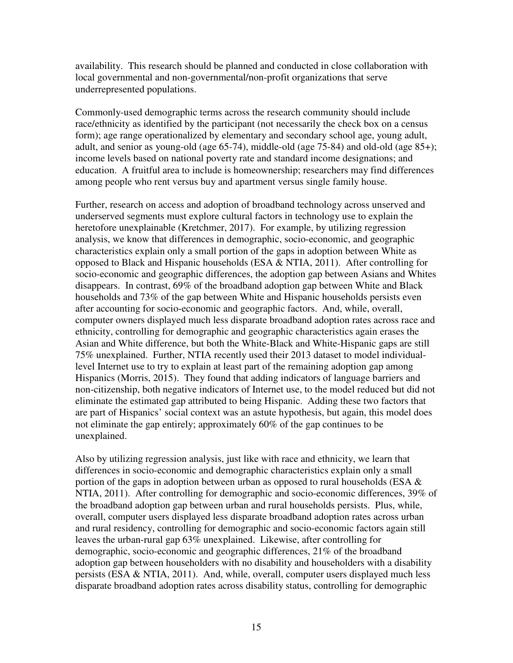availability. This research should be planned and conducted in close collaboration with local governmental and non-governmental/non-profit organizations that serve underrepresented populations.

Commonly-used demographic terms across the research community should include race/ethnicity as identified by the participant (not necessarily the check box on a census form); age range operationalized by elementary and secondary school age, young adult, adult, and senior as young-old (age 65-74), middle-old (age 75-84) and old-old (age 85+); income levels based on national poverty rate and standard income designations; and education. A fruitful area to include is homeownership; researchers may find differences among people who rent versus buy and apartment versus single family house.

Further, research on access and adoption of broadband technology across unserved and underserved segments must explore cultural factors in technology use to explain the heretofore unexplainable (Kretchmer, 2017). For example, by utilizing regression analysis, we know that differences in demographic, socio-economic, and geographic characteristics explain only a small portion of the gaps in adoption between White as opposed to Black and Hispanic households (ESA & NTIA, 2011). After controlling for socio-economic and geographic differences, the adoption gap between Asians and Whites disappears. In contrast, 69% of the broadband adoption gap between White and Black households and 73% of the gap between White and Hispanic households persists even after accounting for socio-economic and geographic factors. And, while, overall, computer owners displayed much less disparate broadband adoption rates across race and ethnicity, controlling for demographic and geographic characteristics again erases the Asian and White difference, but both the White-Black and White-Hispanic gaps are still 75% unexplained. Further, NTIA recently used their 2013 dataset to model individuallevel Internet use to try to explain at least part of the remaining adoption gap among Hispanics (Morris, 2015). They found that adding indicators of language barriers and non-citizenship, both negative indicators of Internet use, to the model reduced but did not eliminate the estimated gap attributed to being Hispanic. Adding these two factors that are part of Hispanics' social context was an astute hypothesis, but again, this model does not eliminate the gap entirely; approximately 60% of the gap continues to be unexplained.

Also by utilizing regression analysis, just like with race and ethnicity, we learn that differences in socio-economic and demographic characteristics explain only a small portion of the gaps in adoption between urban as opposed to rural households (ESA  $\&$ NTIA, 2011). After controlling for demographic and socio-economic differences, 39% of the broadband adoption gap between urban and rural households persists. Plus, while, overall, computer users displayed less disparate broadband adoption rates across urban and rural residency, controlling for demographic and socio-economic factors again still leaves the urban-rural gap 63% unexplained. Likewise, after controlling for demographic, socio-economic and geographic differences, 21% of the broadband adoption gap between householders with no disability and householders with a disability persists (ESA & NTIA, 2011). And, while, overall, computer users displayed much less disparate broadband adoption rates across disability status, controlling for demographic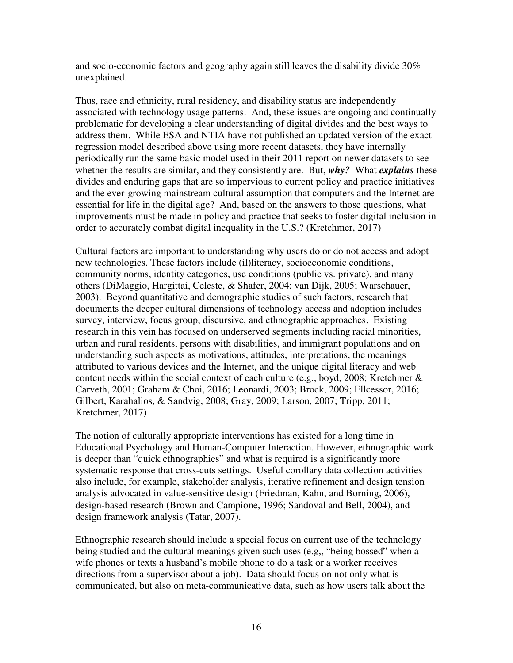and socio-economic factors and geography again still leaves the disability divide 30% unexplained.

Thus, race and ethnicity, rural residency, and disability status are independently associated with technology usage patterns. And, these issues are ongoing and continually problematic for developing a clear understanding of digital divides and the best ways to address them. While ESA and NTIA have not published an updated version of the exact regression model described above using more recent datasets, they have internally periodically run the same basic model used in their 2011 report on newer datasets to see whether the results are similar, and they consistently are. But, *why?* What *explains* these divides and enduring gaps that are so impervious to current policy and practice initiatives and the ever-growing mainstream cultural assumption that computers and the Internet are essential for life in the digital age? And, based on the answers to those questions, what improvements must be made in policy and practice that seeks to foster digital inclusion in order to accurately combat digital inequality in the U.S.? (Kretchmer, 2017)

Cultural factors are important to understanding why users do or do not access and adopt new technologies. These factors include (il)literacy, socioeconomic conditions, community norms, identity categories, use conditions (public vs. private), and many others (DiMaggio, Hargittai, Celeste, & Shafer, 2004; van Dijk, 2005; Warschauer, 2003). Beyond quantitative and demographic studies of such factors, research that documents the deeper cultural dimensions of technology access and adoption includes survey, interview, focus group, discursive, and ethnographic approaches. Existing research in this vein has focused on underserved segments including racial minorities, urban and rural residents, persons with disabilities, and immigrant populations and on understanding such aspects as motivations, attitudes, interpretations, the meanings attributed to various devices and the Internet, and the unique digital literacy and web content needs within the social context of each culture (e.g., boyd, 2008; Kretchmer & Carveth, 2001; Graham & Choi, 2016; Leonardi, 2003; Brock, 2009; Ellcessor, 2016; Gilbert, Karahalios, & Sandvig, 2008; Gray, 2009; Larson, 2007; Tripp, 2011; Kretchmer, 2017).

The notion of culturally appropriate interventions has existed for a long time in Educational Psychology and Human-Computer Interaction. However, ethnographic work is deeper than "quick ethnographies" and what is required is a significantly more systematic response that cross-cuts settings. Useful corollary data collection activities also include, for example, stakeholder analysis, iterative refinement and design tension analysis advocated in value-sensitive design (Friedman, Kahn, and Borning, 2006), design-based research (Brown and Campione, 1996; Sandoval and Bell, 2004), and design framework analysis (Tatar, 2007).

Ethnographic research should include a special focus on current use of the technology being studied and the cultural meanings given such uses (e.g,, "being bossed" when a wife phones or texts a husband's mobile phone to do a task or a worker receives directions from a supervisor about a job). Data should focus on not only what is communicated, but also on meta-communicative data, such as how users talk about the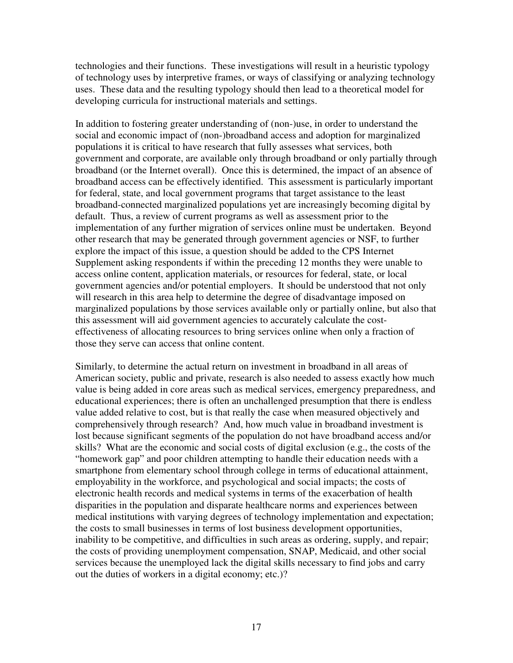technologies and their functions. These investigations will result in a heuristic typology of technology uses by interpretive frames, or ways of classifying or analyzing technology uses. These data and the resulting typology should then lead to a theoretical model for developing curricula for instructional materials and settings.

In addition to fostering greater understanding of (non-)use, in order to understand the social and economic impact of (non-)broadband access and adoption for marginalized populations it is critical to have research that fully assesses what services, both government and corporate, are available only through broadband or only partially through broadband (or the Internet overall). Once this is determined, the impact of an absence of broadband access can be effectively identified. This assessment is particularly important for federal, state, and local government programs that target assistance to the least broadband-connected marginalized populations yet are increasingly becoming digital by default. Thus, a review of current programs as well as assessment prior to the implementation of any further migration of services online must be undertaken. Beyond other research that may be generated through government agencies or NSF, to further explore the impact of this issue, a question should be added to the CPS Internet Supplement asking respondents if within the preceding 12 months they were unable to access online content, application materials, or resources for federal, state, or local government agencies and/or potential employers. It should be understood that not only will research in this area help to determine the degree of disadvantage imposed on marginalized populations by those services available only or partially online, but also that this assessment will aid government agencies to accurately calculate the costeffectiveness of allocating resources to bring services online when only a fraction of those they serve can access that online content.

Similarly, to determine the actual return on investment in broadband in all areas of American society, public and private, research is also needed to assess exactly how much value is being added in core areas such as medical services, emergency preparedness, and educational experiences; there is often an unchallenged presumption that there is endless value added relative to cost, but is that really the case when measured objectively and comprehensively through research? And, how much value in broadband investment is lost because significant segments of the population do not have broadband access and/or skills? What are the economic and social costs of digital exclusion (e.g., the costs of the "homework gap" and poor children attempting to handle their education needs with a smartphone from elementary school through college in terms of educational attainment, employability in the workforce, and psychological and social impacts; the costs of electronic health records and medical systems in terms of the exacerbation of health disparities in the population and disparate healthcare norms and experiences between medical institutions with varying degrees of technology implementation and expectation; the costs to small businesses in terms of lost business development opportunities, inability to be competitive, and difficulties in such areas as ordering, supply, and repair; the costs of providing unemployment compensation, SNAP, Medicaid, and other social services because the unemployed lack the digital skills necessary to find jobs and carry out the duties of workers in a digital economy; etc.)?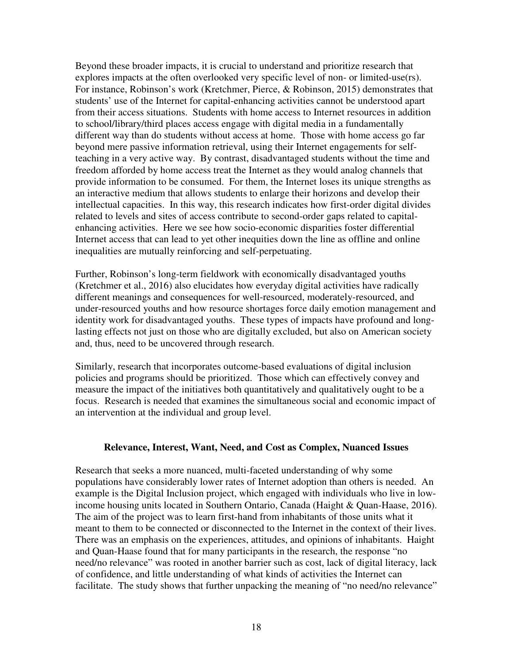Beyond these broader impacts, it is crucial to understand and prioritize research that explores impacts at the often overlooked very specific level of non- or limited-use(rs). For instance, Robinson's work (Kretchmer, Pierce, & Robinson, 2015) demonstrates that students' use of the Internet for capital-enhancing activities cannot be understood apart from their access situations. Students with home access to Internet resources in addition to school/library/third places access engage with digital media in a fundamentally different way than do students without access at home. Those with home access go far beyond mere passive information retrieval, using their Internet engagements for selfteaching in a very active way. By contrast, disadvantaged students without the time and freedom afforded by home access treat the Internet as they would analog channels that provide information to be consumed. For them, the Internet loses its unique strengths as an interactive medium that allows students to enlarge their horizons and develop their intellectual capacities. In this way, this research indicates how first-order digital divides related to levels and sites of access contribute to second-order gaps related to capitalenhancing activities. Here we see how socio-economic disparities foster differential Internet access that can lead to yet other inequities down the line as offline and online inequalities are mutually reinforcing and self-perpetuating.

Further, Robinson's long-term fieldwork with economically disadvantaged youths (Kretchmer et al., 2016) also elucidates how everyday digital activities have radically different meanings and consequences for well-resourced, moderately-resourced, and under-resourced youths and how resource shortages force daily emotion management and identity work for disadvantaged youths. These types of impacts have profound and longlasting effects not just on those who are digitally excluded, but also on American society and, thus, need to be uncovered through research.

Similarly, research that incorporates outcome-based evaluations of digital inclusion policies and programs should be prioritized. Those which can effectively convey and measure the impact of the initiatives both quantitatively and qualitatively ought to be a focus. Research is needed that examines the simultaneous social and economic impact of an intervention at the individual and group level.

#### **Relevance, Interest, Want, Need, and Cost as Complex, Nuanced Issues**

Research that seeks a more nuanced, multi-faceted understanding of why some populations have considerably lower rates of Internet adoption than others is needed. An example is the Digital Inclusion project, which engaged with individuals who live in lowincome housing units located in Southern Ontario, Canada (Haight & Quan-Haase, 2016). The aim of the project was to learn first-hand from inhabitants of those units what it meant to them to be connected or disconnected to the Internet in the context of their lives. There was an emphasis on the experiences, attitudes, and opinions of inhabitants. Haight and Quan-Haase found that for many participants in the research, the response "no need/no relevance" was rooted in another barrier such as cost, lack of digital literacy, lack of confidence, and little understanding of what kinds of activities the Internet can facilitate. The study shows that further unpacking the meaning of "no need/no relevance"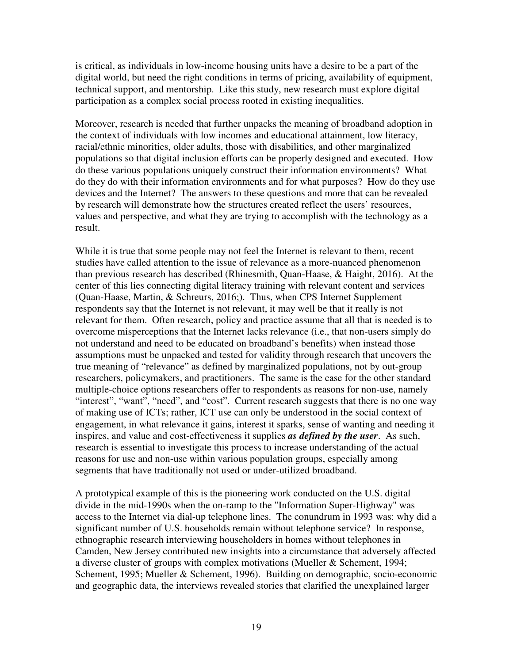is critical, as individuals in low-income housing units have a desire to be a part of the digital world, but need the right conditions in terms of pricing, availability of equipment, technical support, and mentorship. Like this study, new research must explore digital participation as a complex social process rooted in existing inequalities.

Moreover, research is needed that further unpacks the meaning of broadband adoption in the context of individuals with low incomes and educational attainment, low literacy, racial/ethnic minorities, older adults, those with disabilities, and other marginalized populations so that digital inclusion efforts can be properly designed and executed. How do these various populations uniquely construct their information environments? What do they do with their information environments and for what purposes? How do they use devices and the Internet? The answers to these questions and more that can be revealed by research will demonstrate how the structures created reflect the users' resources, values and perspective, and what they are trying to accomplish with the technology as a result.

While it is true that some people may not feel the Internet is relevant to them, recent studies have called attention to the issue of relevance as a more-nuanced phenomenon than previous research has described (Rhinesmith, Quan-Haase, & Haight, 2016). At the center of this lies connecting digital literacy training with relevant content and services (Quan-Haase, Martin, & Schreurs, 2016;). Thus, when CPS Internet Supplement respondents say that the Internet is not relevant, it may well be that it really is not relevant for them. Often research, policy and practice assume that all that is needed is to overcome misperceptions that the Internet lacks relevance (i.e., that non-users simply do not understand and need to be educated on broadband's benefits) when instead those assumptions must be unpacked and tested for validity through research that uncovers the true meaning of "relevance" as defined by marginalized populations, not by out-group researchers, policymakers, and practitioners. The same is the case for the other standard multiple-choice options researchers offer to respondents as reasons for non-use, namely "interest", "want", "need", and "cost". Current research suggests that there is no one way of making use of ICTs; rather, ICT use can only be understood in the social context of engagement, in what relevance it gains, interest it sparks, sense of wanting and needing it inspires, and value and cost-effectiveness it supplies *as defined by the user*. As such, research is essential to investigate this process to increase understanding of the actual reasons for use and non-use within various population groups, especially among segments that have traditionally not used or under-utilized broadband.

A prototypical example of this is the pioneering work conducted on the U.S. digital divide in the mid-1990s when the on-ramp to the "Information Super-Highway" was access to the Internet via dial-up telephone lines. The conundrum in 1993 was: why did a significant number of U.S. households remain without telephone service? In response, ethnographic research interviewing householders in homes without telephones in Camden, New Jersey contributed new insights into a circumstance that adversely affected a diverse cluster of groups with complex motivations (Mueller & Schement, 1994; Schement, 1995; Mueller & Schement, 1996). Building on demographic, socio-economic and geographic data, the interviews revealed stories that clarified the unexplained larger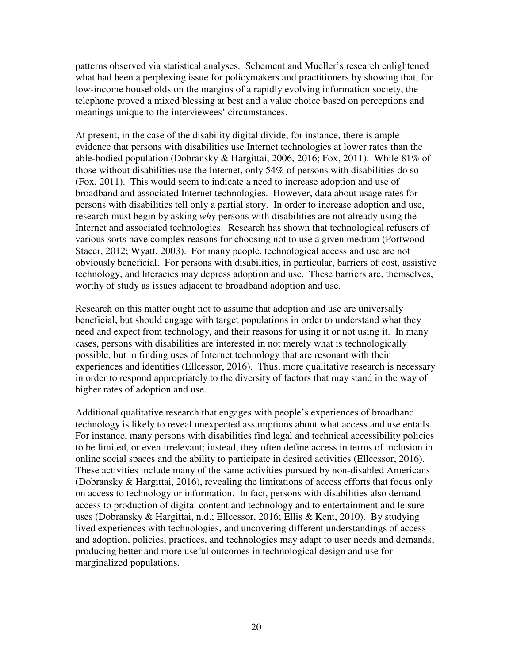patterns observed via statistical analyses. Schement and Mueller's research enlightened what had been a perplexing issue for policymakers and practitioners by showing that, for low-income households on the margins of a rapidly evolving information society, the telephone proved a mixed blessing at best and a value choice based on perceptions and meanings unique to the interviewees' circumstances.

At present, in the case of the disability digital divide, for instance, there is ample evidence that persons with disabilities use Internet technologies at lower rates than the able-bodied population (Dobransky & Hargittai, 2006, 2016; Fox, 2011). While 81% of those without disabilities use the Internet, only 54% of persons with disabilities do so (Fox, 2011). This would seem to indicate a need to increase adoption and use of broadband and associated Internet technologies. However, data about usage rates for persons with disabilities tell only a partial story. In order to increase adoption and use, research must begin by asking *why* persons with disabilities are not already using the Internet and associated technologies. Research has shown that technological refusers of various sorts have complex reasons for choosing not to use a given medium (Portwood-Stacer, 2012; Wyatt, 2003). For many people, technological access and use are not obviously beneficial. For persons with disabilities, in particular, barriers of cost, assistive technology, and literacies may depress adoption and use. These barriers are, themselves, worthy of study as issues adjacent to broadband adoption and use.

Research on this matter ought not to assume that adoption and use are universally beneficial, but should engage with target populations in order to understand what they need and expect from technology, and their reasons for using it or not using it. In many cases, persons with disabilities are interested in not merely what is technologically possible, but in finding uses of Internet technology that are resonant with their experiences and identities (Ellcessor, 2016). Thus, more qualitative research is necessary in order to respond appropriately to the diversity of factors that may stand in the way of higher rates of adoption and use.

Additional qualitative research that engages with people's experiences of broadband technology is likely to reveal unexpected assumptions about what access and use entails. For instance, many persons with disabilities find legal and technical accessibility policies to be limited, or even irrelevant; instead, they often define access in terms of inclusion in online social spaces and the ability to participate in desired activities (Ellcessor, 2016). These activities include many of the same activities pursued by non-disabled Americans (Dobransky & Hargittai, 2016), revealing the limitations of access efforts that focus only on access to technology or information. In fact, persons with disabilities also demand access to production of digital content and technology and to entertainment and leisure uses (Dobransky & Hargittai, n.d.; Ellcessor, 2016; Ellis & Kent, 2010). By studying lived experiences with technologies, and uncovering different understandings of access and adoption, policies, practices, and technologies may adapt to user needs and demands, producing better and more useful outcomes in technological design and use for marginalized populations.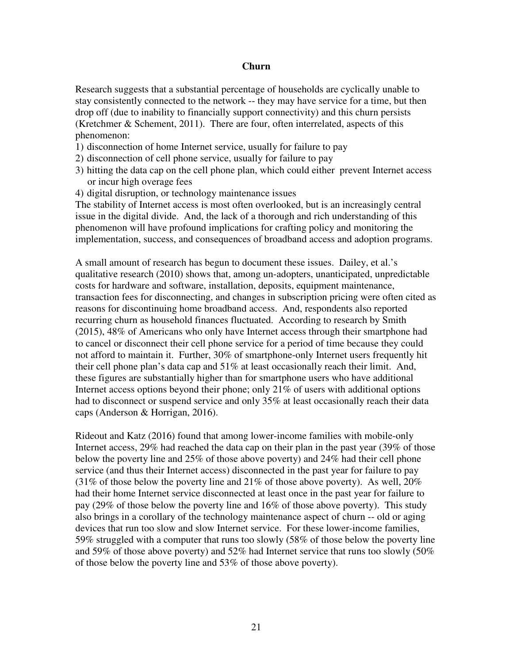#### **Churn**

Research suggests that a substantial percentage of households are cyclically unable to stay consistently connected to the network -- they may have service for a time, but then drop off (due to inability to financially support connectivity) and this churn persists (Kretchmer & Schement, 2011). There are four, often interrelated, aspects of this phenomenon:

- 1) disconnection of home Internet service, usually for failure to pay
- 2) disconnection of cell phone service, usually for failure to pay
- 3) hitting the data cap on the cell phone plan, which could either prevent Internet access or incur high overage fees
- 4) digital disruption, or technology maintenance issues

The stability of Internet access is most often overlooked, but is an increasingly central issue in the digital divide. And, the lack of a thorough and rich understanding of this phenomenon will have profound implications for crafting policy and monitoring the implementation, success, and consequences of broadband access and adoption programs.

A small amount of research has begun to document these issues. Dailey, et al.'s qualitative research (2010) shows that, among un-adopters, unanticipated, unpredictable costs for hardware and software, installation, deposits, equipment maintenance, transaction fees for disconnecting, and changes in subscription pricing were often cited as reasons for discontinuing home broadband access. And, respondents also reported recurring churn as household finances fluctuated. According to research by Smith (2015), 48% of Americans who only have Internet access through their smartphone had to cancel or disconnect their cell phone service for a period of time because they could not afford to maintain it. Further, 30% of smartphone-only Internet users frequently hit their cell phone plan's data cap and 51% at least occasionally reach their limit. And, these figures are substantially higher than for smartphone users who have additional Internet access options beyond their phone; only 21% of users with additional options had to disconnect or suspend service and only 35% at least occasionally reach their data caps (Anderson & Horrigan, 2016).

Rideout and Katz (2016) found that among lower-income families with mobile-only Internet access, 29% had reached the data cap on their plan in the past year (39% of those below the poverty line and 25% of those above poverty) and 24% had their cell phone service (and thus their Internet access) disconnected in the past year for failure to pay (31% of those below the poverty line and 21% of those above poverty). As well,  $20\%$ had their home Internet service disconnected at least once in the past year for failure to pay (29% of those below the poverty line and 16% of those above poverty). This study also brings in a corollary of the technology maintenance aspect of churn -- old or aging devices that run too slow and slow Internet service. For these lower-income families, 59% struggled with a computer that runs too slowly (58% of those below the poverty line and 59% of those above poverty) and 52% had Internet service that runs too slowly (50% of those below the poverty line and 53% of those above poverty).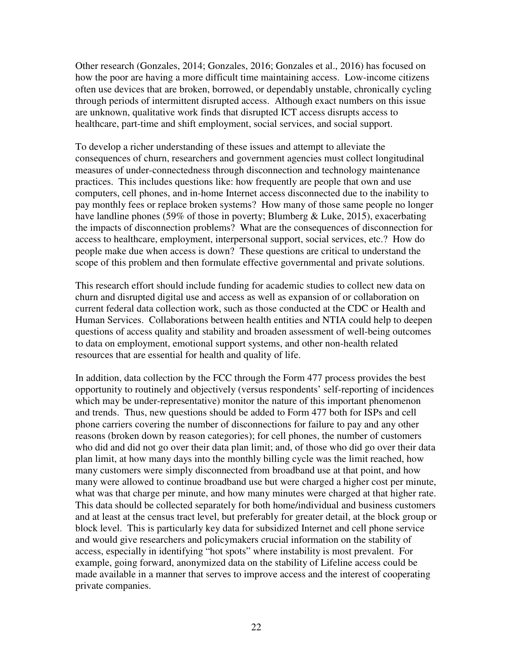Other research (Gonzales, 2014; Gonzales, 2016; Gonzales et al., 2016) has focused on how the poor are having a more difficult time maintaining access. Low-income citizens often use devices that are broken, borrowed, or dependably unstable, chronically cycling through periods of intermittent disrupted access. Although exact numbers on this issue are unknown, qualitative work finds that disrupted ICT access disrupts access to healthcare, part-time and shift employment, social services, and social support.

To develop a richer understanding of these issues and attempt to alleviate the consequences of churn, researchers and government agencies must collect longitudinal measures of under-connectedness through disconnection and technology maintenance practices. This includes questions like: how frequently are people that own and use computers, cell phones, and in-home Internet access disconnected due to the inability to pay monthly fees or replace broken systems? How many of those same people no longer have landline phones (59% of those in poverty; Blumberg & Luke, 2015), exacerbating the impacts of disconnection problems? What are the consequences of disconnection for access to healthcare, employment, interpersonal support, social services, etc.? How do people make due when access is down? These questions are critical to understand the scope of this problem and then formulate effective governmental and private solutions.

This research effort should include funding for academic studies to collect new data on churn and disrupted digital use and access as well as expansion of or collaboration on current federal data collection work, such as those conducted at the CDC or Health and Human Services. Collaborations between health entities and NTIA could help to deepen questions of access quality and stability and broaden assessment of well-being outcomes to data on employment, emotional support systems, and other non-health related resources that are essential for health and quality of life.

In addition, data collection by the FCC through the Form 477 process provides the best opportunity to routinely and objectively (versus respondents' self-reporting of incidences which may be under-representative) monitor the nature of this important phenomenon and trends. Thus, new questions should be added to Form 477 both for ISPs and cell phone carriers covering the number of disconnections for failure to pay and any other reasons (broken down by reason categories); for cell phones, the number of customers who did and did not go over their data plan limit; and, of those who did go over their data plan limit, at how many days into the monthly billing cycle was the limit reached, how many customers were simply disconnected from broadband use at that point, and how many were allowed to continue broadband use but were charged a higher cost per minute, what was that charge per minute, and how many minutes were charged at that higher rate. This data should be collected separately for both home/individual and business customers and at least at the census tract level, but preferably for greater detail, at the block group or block level. This is particularly key data for subsidized Internet and cell phone service and would give researchers and policymakers crucial information on the stability of access, especially in identifying "hot spots" where instability is most prevalent. For example, going forward, anonymized data on the stability of Lifeline access could be made available in a manner that serves to improve access and the interest of cooperating private companies.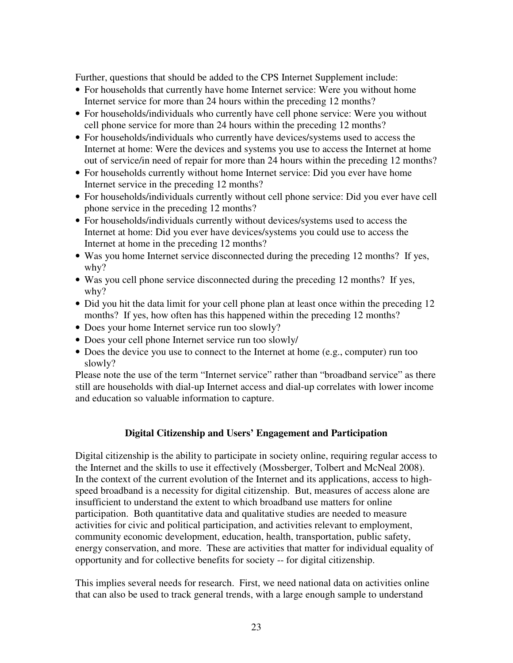Further, questions that should be added to the CPS Internet Supplement include:

- For households that currently have home Internet service: Were you without home Internet service for more than 24 hours within the preceding 12 months?
- For households/individuals who currently have cell phone service: Were you without cell phone service for more than 24 hours within the preceding 12 months?
- For households/individuals who currently have devices/systems used to access the Internet at home: Were the devices and systems you use to access the Internet at home out of service/in need of repair for more than 24 hours within the preceding 12 months?
- For households currently without home Internet service: Did you ever have home Internet service in the preceding 12 months?
- For households/individuals currently without cell phone service: Did you ever have cell phone service in the preceding 12 months?
- For households/individuals currently without devices/systems used to access the Internet at home: Did you ever have devices/systems you could use to access the Internet at home in the preceding 12 months?
- Was you home Internet service disconnected during the preceding 12 months? If yes, why?
- Was you cell phone service disconnected during the preceding 12 months? If yes, why?
- Did you hit the data limit for your cell phone plan at least once within the preceding 12 months? If yes, how often has this happened within the preceding 12 months?
- Does your home Internet service run too slowly?
- Does your cell phone Internet service run too slowly/
- Does the device you use to connect to the Internet at home (e.g., computer) run too slowly?

Please note the use of the term "Internet service" rather than "broadband service" as there still are households with dial-up Internet access and dial-up correlates with lower income and education so valuable information to capture.

# **Digital Citizenship and Users' Engagement and Participation**

Digital citizenship is the ability to participate in society online, requiring regular access to the Internet and the skills to use it effectively (Mossberger, Tolbert and McNeal 2008). In the context of the current evolution of the Internet and its applications, access to highspeed broadband is a necessity for digital citizenship. But, measures of access alone are insufficient to understand the extent to which broadband use matters for online participation. Both quantitative data and qualitative studies are needed to measure activities for civic and political participation, and activities relevant to employment, community economic development, education, health, transportation, public safety, energy conservation, and more. These are activities that matter for individual equality of opportunity and for collective benefits for society -- for digital citizenship.

This implies several needs for research. First, we need national data on activities online that can also be used to track general trends, with a large enough sample to understand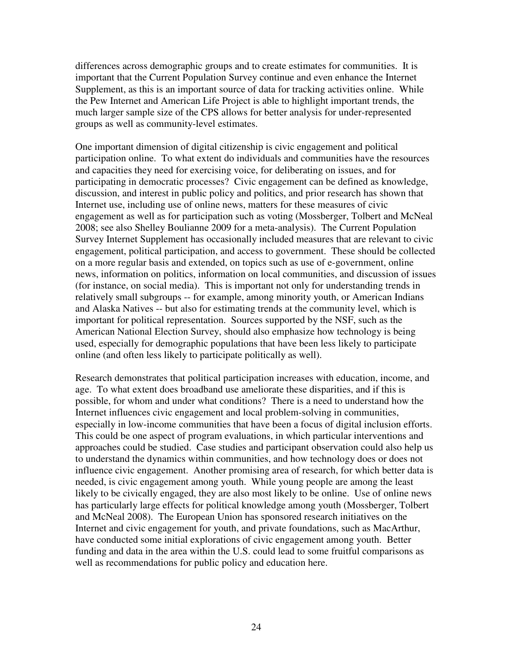differences across demographic groups and to create estimates for communities. It is important that the Current Population Survey continue and even enhance the Internet Supplement, as this is an important source of data for tracking activities online. While the Pew Internet and American Life Project is able to highlight important trends, the much larger sample size of the CPS allows for better analysis for under-represented groups as well as community-level estimates.

One important dimension of digital citizenship is civic engagement and political participation online. To what extent do individuals and communities have the resources and capacities they need for exercising voice, for deliberating on issues, and for participating in democratic processes? Civic engagement can be defined as knowledge, discussion, and interest in public policy and politics, and prior research has shown that Internet use, including use of online news, matters for these measures of civic engagement as well as for participation such as voting (Mossberger, Tolbert and McNeal 2008; see also Shelley Boulianne 2009 for a meta-analysis). The Current Population Survey Internet Supplement has occasionally included measures that are relevant to civic engagement, political participation, and access to government. These should be collected on a more regular basis and extended, on topics such as use of e-government, online news, information on politics, information on local communities, and discussion of issues (for instance, on social media). This is important not only for understanding trends in relatively small subgroups -- for example, among minority youth, or American Indians and Alaska Natives -- but also for estimating trends at the community level, which is important for political representation. Sources supported by the NSF, such as the American National Election Survey, should also emphasize how technology is being used, especially for demographic populations that have been less likely to participate online (and often less likely to participate politically as well).

Research demonstrates that political participation increases with education, income, and age. To what extent does broadband use ameliorate these disparities, and if this is possible, for whom and under what conditions? There is a need to understand how the Internet influences civic engagement and local problem-solving in communities, especially in low-income communities that have been a focus of digital inclusion efforts. This could be one aspect of program evaluations, in which particular interventions and approaches could be studied. Case studies and participant observation could also help us to understand the dynamics within communities, and how technology does or does not influence civic engagement. Another promising area of research, for which better data is needed, is civic engagement among youth. While young people are among the least likely to be civically engaged, they are also most likely to be online. Use of online news has particularly large effects for political knowledge among youth (Mossberger, Tolbert and McNeal 2008). The European Union has sponsored research initiatives on the Internet and civic engagement for youth, and private foundations, such as MacArthur, have conducted some initial explorations of civic engagement among youth. Better funding and data in the area within the U.S. could lead to some fruitful comparisons as well as recommendations for public policy and education here.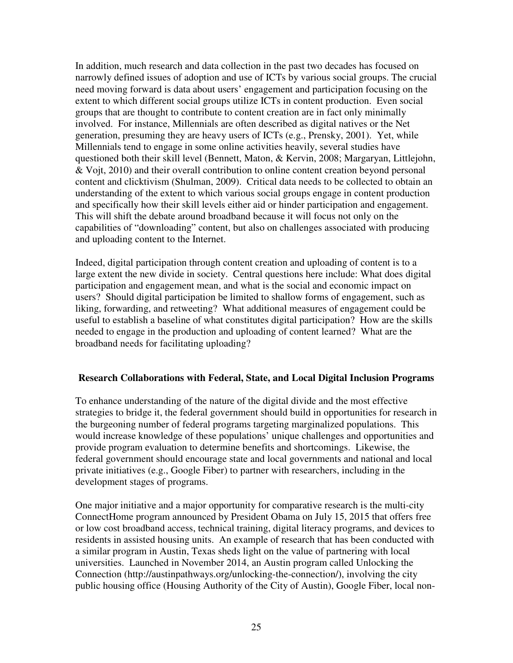In addition, much research and data collection in the past two decades has focused on narrowly defined issues of adoption and use of ICTs by various social groups. The crucial need moving forward is data about users' engagement and participation focusing on the extent to which different social groups utilize ICTs in content production. Even social groups that are thought to contribute to content creation are in fact only minimally involved. For instance, Millennials are often described as digital natives or the Net generation, presuming they are heavy users of ICTs (e.g., Prensky, 2001). Yet, while Millennials tend to engage in some online activities heavily, several studies have questioned both their skill level (Bennett, Maton, & Kervin, 2008; Margaryan, Littlejohn, & Vojt, 2010) and their overall contribution to online content creation beyond personal content and clicktivism (Shulman, 2009). Critical data needs to be collected to obtain an understanding of the extent to which various social groups engage in content production and specifically how their skill levels either aid or hinder participation and engagement. This will shift the debate around broadband because it will focus not only on the capabilities of "downloading" content, but also on challenges associated with producing and uploading content to the Internet.

Indeed, digital participation through content creation and uploading of content is to a large extent the new divide in society. Central questions here include: What does digital participation and engagement mean, and what is the social and economic impact on users? Should digital participation be limited to shallow forms of engagement, such as liking, forwarding, and retweeting? What additional measures of engagement could be useful to establish a baseline of what constitutes digital participation? How are the skills needed to engage in the production and uploading of content learned? What are the broadband needs for facilitating uploading?

#### **Research Collaborations with Federal, State, and Local Digital Inclusion Programs**

To enhance understanding of the nature of the digital divide and the most effective strategies to bridge it, the federal government should build in opportunities for research in the burgeoning number of federal programs targeting marginalized populations. This would increase knowledge of these populations' unique challenges and opportunities and provide program evaluation to determine benefits and shortcomings. Likewise, the federal government should encourage state and local governments and national and local private initiatives (e.g., Google Fiber) to partner with researchers, including in the development stages of programs.

One major initiative and a major opportunity for comparative research is the multi-city ConnectHome program announced by President Obama on July 15, 2015 that offers free or low cost broadband access, technical training, digital literacy programs, and devices to residents in assisted housing units. An example of research that has been conducted with a similar program in Austin, Texas sheds light on the value of partnering with local universities. Launched in November 2014, an Austin program called Unlocking the Connection (http://austinpathways.org/unlocking-the-connection/), involving the city public housing office (Housing Authority of the City of Austin), Google Fiber, local non-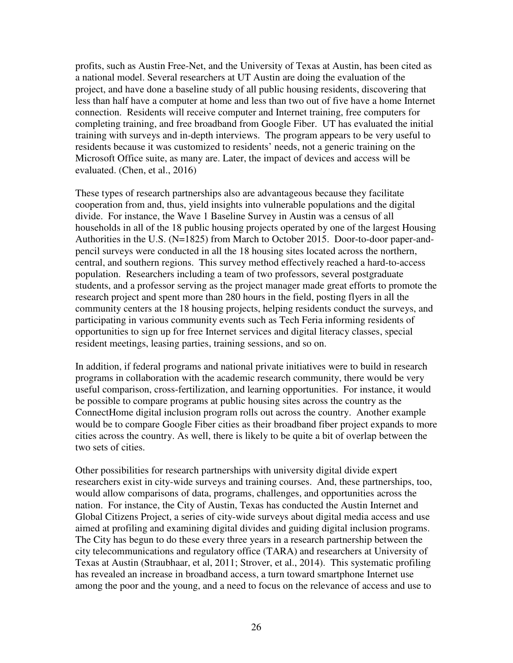profits, such as Austin Free-Net, and the University of Texas at Austin, has been cited as a national model. Several researchers at UT Austin are doing the evaluation of the project, and have done a baseline study of all public housing residents, discovering that less than half have a computer at home and less than two out of five have a home Internet connection. Residents will receive computer and Internet training, free computers for completing training, and free broadband from Google Fiber. UT has evaluated the initial training with surveys and in-depth interviews. The program appears to be very useful to residents because it was customized to residents' needs, not a generic training on the Microsoft Office suite, as many are. Later, the impact of devices and access will be evaluated. (Chen, et al., 2016)

These types of research partnerships also are advantageous because they facilitate cooperation from and, thus, yield insights into vulnerable populations and the digital divide. For instance, the Wave 1 Baseline Survey in Austin was a census of all households in all of the 18 public housing projects operated by one of the largest Housing Authorities in the U.S. (N=1825) from March to October 2015. Door-to-door paper-andpencil surveys were conducted in all the 18 housing sites located across the northern, central, and southern regions. This survey method effectively reached a hard-to-access population. Researchers including a team of two professors, several postgraduate students, and a professor serving as the project manager made great efforts to promote the research project and spent more than 280 hours in the field, posting flyers in all the community centers at the 18 housing projects, helping residents conduct the surveys, and participating in various community events such as Tech Feria informing residents of opportunities to sign up for free Internet services and digital literacy classes, special resident meetings, leasing parties, training sessions, and so on.

In addition, if federal programs and national private initiatives were to build in research programs in collaboration with the academic research community, there would be very useful comparison, cross-fertilization, and learning opportunities. For instance, it would be possible to compare programs at public housing sites across the country as the ConnectHome digital inclusion program rolls out across the country. Another example would be to compare Google Fiber cities as their broadband fiber project expands to more cities across the country. As well, there is likely to be quite a bit of overlap between the two sets of cities.

Other possibilities for research partnerships with university digital divide expert researchers exist in city-wide surveys and training courses. And, these partnerships, too, would allow comparisons of data, programs, challenges, and opportunities across the nation. For instance, the City of Austin, Texas has conducted the Austin Internet and Global Citizens Project, a series of city-wide surveys about digital media access and use aimed at profiling and examining digital divides and guiding digital inclusion programs. The City has begun to do these every three years in a research partnership between the city telecommunications and regulatory office (TARA) and researchers at University of Texas at Austin (Straubhaar, et al, 2011; Strover, et al., 2014). This systematic profiling has revealed an increase in broadband access, a turn toward smartphone Internet use among the poor and the young, and a need to focus on the relevance of access and use to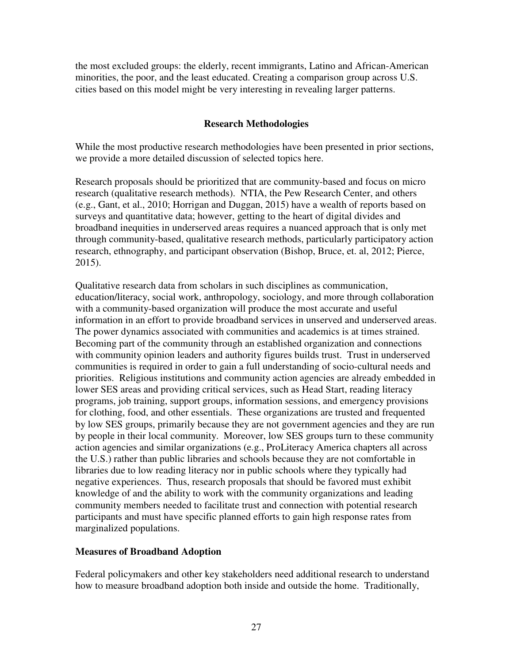the most excluded groups: the elderly, recent immigrants, Latino and African-American minorities, the poor, and the least educated. Creating a comparison group across U.S. cities based on this model might be very interesting in revealing larger patterns.

# **Research Methodologies**

While the most productive research methodologies have been presented in prior sections, we provide a more detailed discussion of selected topics here.

Research proposals should be prioritized that are community-based and focus on micro research (qualitative research methods). NTIA, the Pew Research Center, and others (e.g., Gant, et al., 2010; Horrigan and Duggan, 2015) have a wealth of reports based on surveys and quantitative data; however, getting to the heart of digital divides and broadband inequities in underserved areas requires a nuanced approach that is only met through community-based, qualitative research methods, particularly participatory action research, ethnography, and participant observation (Bishop, Bruce, et. al, 2012; Pierce, 2015).

Qualitative research data from scholars in such disciplines as communication, education/literacy, social work, anthropology, sociology, and more through collaboration with a community-based organization will produce the most accurate and useful information in an effort to provide broadband services in unserved and underserved areas. The power dynamics associated with communities and academics is at times strained. Becoming part of the community through an established organization and connections with community opinion leaders and authority figures builds trust. Trust in underserved communities is required in order to gain a full understanding of socio-cultural needs and priorities. Religious institutions and community action agencies are already embedded in lower SES areas and providing critical services, such as Head Start, reading literacy programs, job training, support groups, information sessions, and emergency provisions for clothing, food, and other essentials. These organizations are trusted and frequented by low SES groups, primarily because they are not government agencies and they are run by people in their local community. Moreover, low SES groups turn to these community action agencies and similar organizations (e.g., ProLiteracy America chapters all across the U.S.) rather than public libraries and schools because they are not comfortable in libraries due to low reading literacy nor in public schools where they typically had negative experiences. Thus, research proposals that should be favored must exhibit knowledge of and the ability to work with the community organizations and leading community members needed to facilitate trust and connection with potential research participants and must have specific planned efforts to gain high response rates from marginalized populations.

#### **Measures of Broadband Adoption**

Federal policymakers and other key stakeholders need additional research to understand how to measure broadband adoption both inside and outside the home. Traditionally,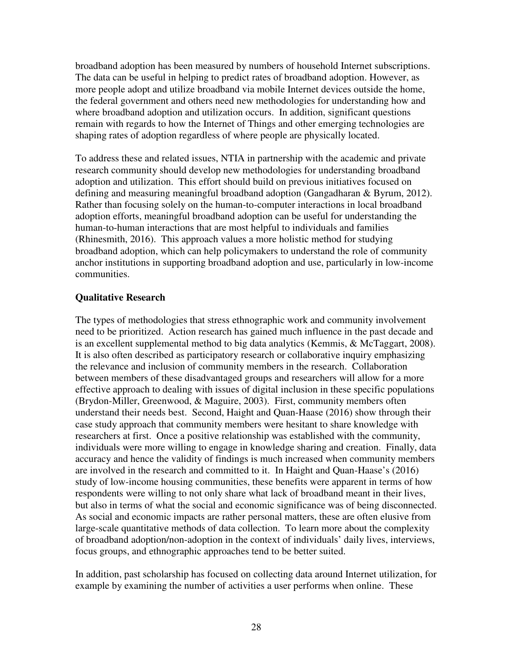broadband adoption has been measured by numbers of household Internet subscriptions. The data can be useful in helping to predict rates of broadband adoption. However, as more people adopt and utilize broadband via mobile Internet devices outside the home, the federal government and others need new methodologies for understanding how and where broadband adoption and utilization occurs. In addition, significant questions remain with regards to how the Internet of Things and other emerging technologies are shaping rates of adoption regardless of where people are physically located.

To address these and related issues, NTIA in partnership with the academic and private research community should develop new methodologies for understanding broadband adoption and utilization. This effort should build on previous initiatives focused on defining and measuring meaningful broadband adoption (Gangadharan & Byrum, 2012). Rather than focusing solely on the human-to-computer interactions in local broadband adoption efforts, meaningful broadband adoption can be useful for understanding the human-to-human interactions that are most helpful to individuals and families (Rhinesmith, 2016). This approach values a more holistic method for studying broadband adoption, which can help policymakers to understand the role of community anchor institutions in supporting broadband adoption and use, particularly in low-income communities.

# **Qualitative Research**

The types of methodologies that stress ethnographic work and community involvement need to be prioritized. Action research has gained much influence in the past decade and is an excellent supplemental method to big data analytics (Kemmis, & McTaggart, 2008). It is also often described as participatory research or collaborative inquiry emphasizing the relevance and inclusion of community members in the research. Collaboration between members of these disadvantaged groups and researchers will allow for a more effective approach to dealing with issues of digital inclusion in these specific populations (Brydon-Miller, Greenwood, & Maguire, 2003). First, community members often understand their needs best. Second, Haight and Quan-Haase (2016) show through their case study approach that community members were hesitant to share knowledge with researchers at first. Once a positive relationship was established with the community, individuals were more willing to engage in knowledge sharing and creation. Finally, data accuracy and hence the validity of findings is much increased when community members are involved in the research and committed to it. In Haight and Quan-Haase's (2016) study of low-income housing communities, these benefits were apparent in terms of how respondents were willing to not only share what lack of broadband meant in their lives, but also in terms of what the social and economic significance was of being disconnected. As social and economic impacts are rather personal matters, these are often elusive from large-scale quantitative methods of data collection. To learn more about the complexity of broadband adoption/non-adoption in the context of individuals' daily lives, interviews, focus groups, and ethnographic approaches tend to be better suited.

In addition, past scholarship has focused on collecting data around Internet utilization, for example by examining the number of activities a user performs when online. These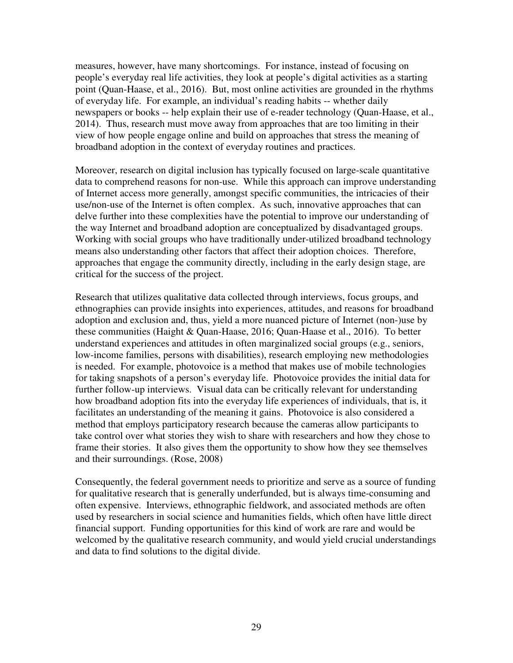measures, however, have many shortcomings. For instance, instead of focusing on people's everyday real life activities, they look at people's digital activities as a starting point (Quan-Haase, et al., 2016). But, most online activities are grounded in the rhythms of everyday life. For example, an individual's reading habits -- whether daily newspapers or books -- help explain their use of e-reader technology (Quan-Haase, et al., 2014). Thus, research must move away from approaches that are too limiting in their view of how people engage online and build on approaches that stress the meaning of broadband adoption in the context of everyday routines and practices.

Moreover, research on digital inclusion has typically focused on large-scale quantitative data to comprehend reasons for non-use. While this approach can improve understanding of Internet access more generally, amongst specific communities, the intricacies of their use/non-use of the Internet is often complex. As such, innovative approaches that can delve further into these complexities have the potential to improve our understanding of the way Internet and broadband adoption are conceptualized by disadvantaged groups. Working with social groups who have traditionally under-utilized broadband technology means also understanding other factors that affect their adoption choices. Therefore, approaches that engage the community directly, including in the early design stage, are critical for the success of the project.

Research that utilizes qualitative data collected through interviews, focus groups, and ethnographies can provide insights into experiences, attitudes, and reasons for broadband adoption and exclusion and, thus, yield a more nuanced picture of Internet (non-)use by these communities (Haight & Quan-Haase, 2016; Quan-Haase et al., 2016). To better understand experiences and attitudes in often marginalized social groups (e.g., seniors, low-income families, persons with disabilities), research employing new methodologies is needed. For example, photovoice is a method that makes use of mobile technologies for taking snapshots of a person's everyday life. Photovoice provides the initial data for further follow-up interviews. Visual data can be critically relevant for understanding how broadband adoption fits into the everyday life experiences of individuals, that is, it facilitates an understanding of the meaning it gains. Photovoice is also considered a method that employs participatory research because the cameras allow participants to take control over what stories they wish to share with researchers and how they chose to frame their stories. It also gives them the opportunity to show how they see themselves and their surroundings. (Rose, 2008)

Consequently, the federal government needs to prioritize and serve as a source of funding for qualitative research that is generally underfunded, but is always time-consuming and often expensive. Interviews, ethnographic fieldwork, and associated methods are often used by researchers in social science and humanities fields, which often have little direct financial support. Funding opportunities for this kind of work are rare and would be welcomed by the qualitative research community, and would yield crucial understandings and data to find solutions to the digital divide.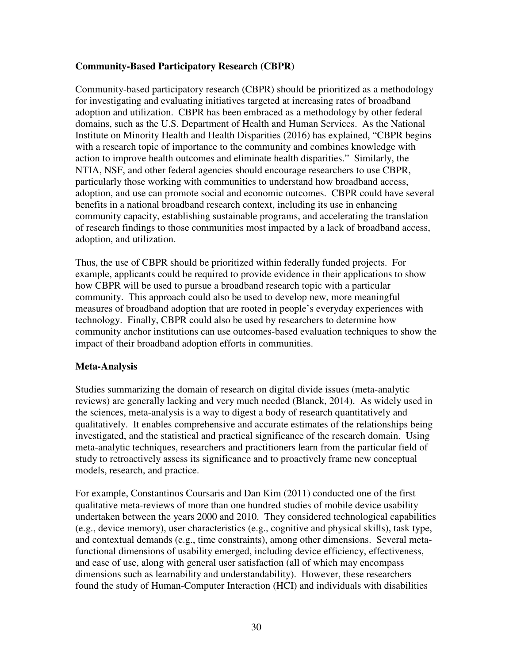# **Community-Based Participatory Research (CBPR)**

Community-based participatory research (CBPR) should be prioritized as a methodology for investigating and evaluating initiatives targeted at increasing rates of broadband adoption and utilization. CBPR has been embraced as a methodology by other federal domains, such as the U.S. Department of Health and Human Services. As the National Institute on Minority Health and Health Disparities (2016) has explained, "CBPR begins with a research topic of importance to the community and combines knowledge with action to improve health outcomes and eliminate health disparities." Similarly, the NTIA, NSF, and other federal agencies should encourage researchers to use CBPR, particularly those working with communities to understand how broadband access, adoption, and use can promote social and economic outcomes. CBPR could have several benefits in a national broadband research context, including its use in enhancing community capacity, establishing sustainable programs, and accelerating the translation of research findings to those communities most impacted by a lack of broadband access, adoption, and utilization.

Thus, the use of CBPR should be prioritized within federally funded projects. For example, applicants could be required to provide evidence in their applications to show how CBPR will be used to pursue a broadband research topic with a particular community. This approach could also be used to develop new, more meaningful measures of broadband adoption that are rooted in people's everyday experiences with technology. Finally, CBPR could also be used by researchers to determine how community anchor institutions can use outcomes-based evaluation techniques to show the impact of their broadband adoption efforts in communities.

#### **Meta-Analysis**

Studies summarizing the domain of research on digital divide issues (meta-analytic reviews) are generally lacking and very much needed (Blanck, 2014). As widely used in the sciences, meta-analysis is a way to digest a body of research quantitatively and qualitatively. It enables comprehensive and accurate estimates of the relationships being investigated, and the statistical and practical significance of the research domain. Using meta-analytic techniques, researchers and practitioners learn from the particular field of study to retroactively assess its significance and to proactively frame new conceptual models, research, and practice.

For example, Constantinos Coursaris and Dan Kim (2011) conducted one of the first qualitative meta-reviews of more than one hundred studies of mobile device usability undertaken between the years 2000 and 2010. They considered technological capabilities (e.g., device memory), user characteristics (e.g., cognitive and physical skills), task type, and contextual demands (e.g., time constraints), among other dimensions. Several metafunctional dimensions of usability emerged, including device efficiency, effectiveness, and ease of use, along with general user satisfaction (all of which may encompass dimensions such as learnability and understandability). However, these researchers found the study of Human-Computer Interaction (HCI) and individuals with disabilities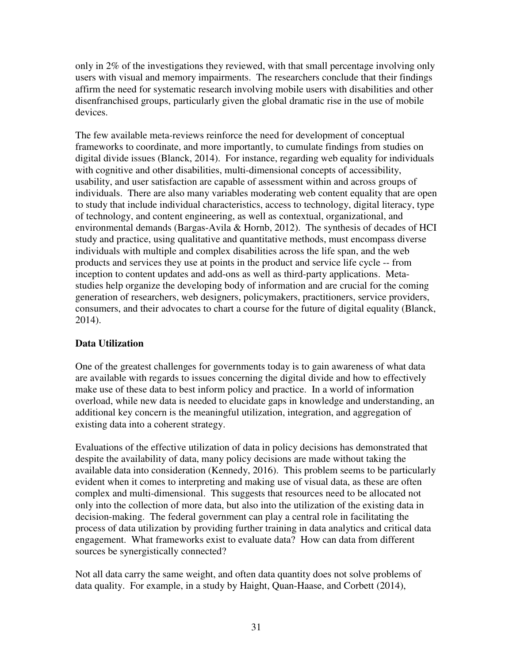only in 2% of the investigations they reviewed, with that small percentage involving only users with visual and memory impairments. The researchers conclude that their findings affirm the need for systematic research involving mobile users with disabilities and other disenfranchised groups, particularly given the global dramatic rise in the use of mobile devices.

The few available meta-reviews reinforce the need for development of conceptual frameworks to coordinate, and more importantly, to cumulate findings from studies on digital divide issues (Blanck, 2014). For instance, regarding web equality for individuals with cognitive and other disabilities, multi-dimensional concepts of accessibility, usability, and user satisfaction are capable of assessment within and across groups of individuals. There are also many variables moderating web content equality that are open to study that include individual characteristics, access to technology, digital literacy, type of technology, and content engineering, as well as contextual, organizational, and environmental demands (Bargas-Avila & Hornb, 2012). The synthesis of decades of HCI study and practice, using qualitative and quantitative methods, must encompass diverse individuals with multiple and complex disabilities across the life span, and the web products and services they use at points in the product and service life cycle -- from inception to content updates and add-ons as well as third-party applications. Metastudies help organize the developing body of information and are crucial for the coming generation of researchers, web designers, policymakers, practitioners, service providers, consumers, and their advocates to chart a course for the future of digital equality (Blanck, 2014).

# **Data Utilization**

One of the greatest challenges for governments today is to gain awareness of what data are available with regards to issues concerning the digital divide and how to effectively make use of these data to best inform policy and practice. In a world of information overload, while new data is needed to elucidate gaps in knowledge and understanding, an additional key concern is the meaningful utilization, integration, and aggregation of existing data into a coherent strategy.

Evaluations of the effective utilization of data in policy decisions has demonstrated that despite the availability of data, many policy decisions are made without taking the available data into consideration (Kennedy, 2016). This problem seems to be particularly evident when it comes to interpreting and making use of visual data, as these are often complex and multi-dimensional. This suggests that resources need to be allocated not only into the collection of more data, but also into the utilization of the existing data in decision-making. The federal government can play a central role in facilitating the process of data utilization by providing further training in data analytics and critical data engagement. What frameworks exist to evaluate data? How can data from different sources be synergistically connected?

Not all data carry the same weight, and often data quantity does not solve problems of data quality. For example, in a study by Haight, Quan-Haase, and Corbett (2014),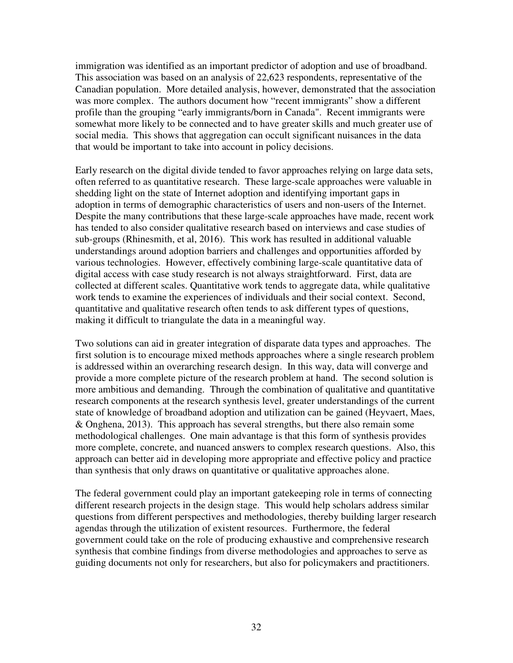immigration was identified as an important predictor of adoption and use of broadband. This association was based on an analysis of 22,623 respondents, representative of the Canadian population. More detailed analysis, however, demonstrated that the association was more complex. The authors document how "recent immigrants" show a different profile than the grouping "early immigrants/born in Canada". Recent immigrants were somewhat more likely to be connected and to have greater skills and much greater use of social media. This shows that aggregation can occult significant nuisances in the data that would be important to take into account in policy decisions.

Early research on the digital divide tended to favor approaches relying on large data sets, often referred to as quantitative research. These large-scale approaches were valuable in shedding light on the state of Internet adoption and identifying important gaps in adoption in terms of demographic characteristics of users and non-users of the Internet. Despite the many contributions that these large-scale approaches have made, recent work has tended to also consider qualitative research based on interviews and case studies of sub-groups (Rhinesmith, et al, 2016). This work has resulted in additional valuable understandings around adoption barriers and challenges and opportunities afforded by various technologies. However, effectively combining large-scale quantitative data of digital access with case study research is not always straightforward. First, data are collected at different scales. Quantitative work tends to aggregate data, while qualitative work tends to examine the experiences of individuals and their social context. Second, quantitative and qualitative research often tends to ask different types of questions, making it difficult to triangulate the data in a meaningful way.

Two solutions can aid in greater integration of disparate data types and approaches. The first solution is to encourage mixed methods approaches where a single research problem is addressed within an overarching research design. In this way, data will converge and provide a more complete picture of the research problem at hand. The second solution is more ambitious and demanding. Through the combination of qualitative and quantitative research components at the research synthesis level, greater understandings of the current state of knowledge of broadband adoption and utilization can be gained (Heyvaert, Maes, & Onghena, 2013). This approach has several strengths, but there also remain some methodological challenges. One main advantage is that this form of synthesis provides more complete, concrete, and nuanced answers to complex research questions. Also, this approach can better aid in developing more appropriate and effective policy and practice than synthesis that only draws on quantitative or qualitative approaches alone.

The federal government could play an important gatekeeping role in terms of connecting different research projects in the design stage. This would help scholars address similar questions from different perspectives and methodologies, thereby building larger research agendas through the utilization of existent resources. Furthermore, the federal government could take on the role of producing exhaustive and comprehensive research synthesis that combine findings from diverse methodologies and approaches to serve as guiding documents not only for researchers, but also for policymakers and practitioners.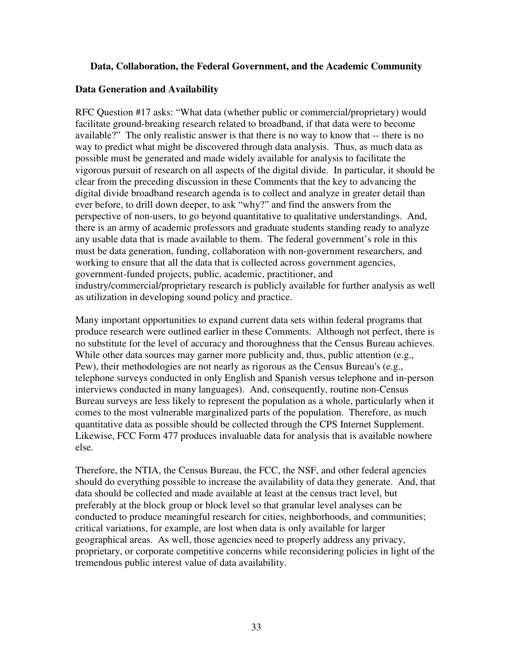## **Data, Collaboration, the Federal Government, and the Academic Community**

#### **Data Generation and Availability**

RFC Question #17 asks: "What data (whether public or commercial/proprietary) would facilitate ground-breaking research related to broadband, if that data were to become available?" The only realistic answer is that there is no way to know that -- there is no way to predict what might be discovered through data analysis. Thus, as much data as possible must be generated and made widely available for analysis to facilitate the vigorous pursuit of research on all aspects of the digital divide. In particular, it should be clear from the preceding discussion in these Comments that the key to advancing the digital divide broadband research agenda is to collect and analyze in greater detail than ever before, to drill down deeper, to ask "why?" and find the answers from the perspective of non-users, to go beyond quantitative to qualitative understandings. And, there is an army of academic professors and graduate students standing ready to analyze any usable data that is made available to them. The federal government's role in this must be data generation, funding, collaboration with non-government researchers, and working to ensure that all the data that is collected across government agencies, government-funded projects, public, academic, practitioner, and industry/commercial/proprietary research is publicly available for further analysis as well as utilization in developing sound policy and practice.

Many important opportunities to expand current data sets within federal programs that produce research were outlined earlier in these Comments. Although not perfect, there is no substitute for the level of accuracy and thoroughness that the Census Bureau achieves. While other data sources may garner more publicity and, thus, public attention (e.g., Pew), their methodologies are not nearly as rigorous as the Census Bureau's (e.g., telephone surveys conducted in only English and Spanish versus telephone and in-person interviews conducted in many languages). And, consequently, routine non-Census Bureau surveys are less likely to represent the population as a whole, particularly when it comes to the most vulnerable marginalized parts of the population. Therefore, as much quantitative data as possible should be collected through the CPS Internet Supplement. Likewise, FCC Form 477 produces invaluable data for analysis that is available nowhere else.

Therefore, the NTIA, the Census Bureau, the FCC, the NSF, and other federal agencies should do everything possible to increase the availability of data they generate. And, that data should be collected and made available at least at the census tract level, but preferably at the block group or block level so that granular level analyses can be conducted to produce meaningful research for cities, neighborhoods, and communities; critical variations, for example, are lost when data is only available for larger geographical areas. As well, those agencies need to properly address any privacy, proprietary, or corporate competitive concerns while reconsidering policies in light of the tremendous public interest value of data availability.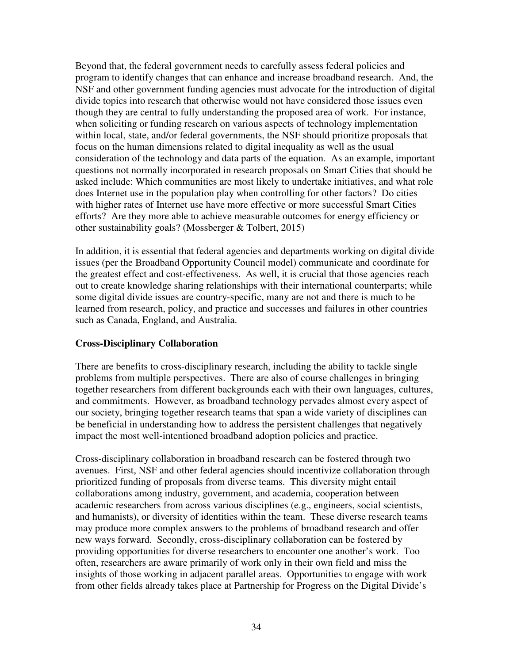Beyond that, the federal government needs to carefully assess federal policies and program to identify changes that can enhance and increase broadband research. And, the NSF and other government funding agencies must advocate for the introduction of digital divide topics into research that otherwise would not have considered those issues even though they are central to fully understanding the proposed area of work. For instance, when soliciting or funding research on various aspects of technology implementation within local, state, and/or federal governments, the NSF should prioritize proposals that focus on the human dimensions related to digital inequality as well as the usual consideration of the technology and data parts of the equation. As an example, important questions not normally incorporated in research proposals on Smart Cities that should be asked include: Which communities are most likely to undertake initiatives, and what role does Internet use in the population play when controlling for other factors? Do cities with higher rates of Internet use have more effective or more successful Smart Cities efforts? Are they more able to achieve measurable outcomes for energy efficiency or other sustainability goals? (Mossberger & Tolbert, 2015)

In addition, it is essential that federal agencies and departments working on digital divide issues (per the Broadband Opportunity Council model) communicate and coordinate for the greatest effect and cost-effectiveness. As well, it is crucial that those agencies reach out to create knowledge sharing relationships with their international counterparts; while some digital divide issues are country-specific, many are not and there is much to be learned from research, policy, and practice and successes and failures in other countries such as Canada, England, and Australia.

# **Cross-Disciplinary Collaboration**

There are benefits to cross-disciplinary research, including the ability to tackle single problems from multiple perspectives. There are also of course challenges in bringing together researchers from different backgrounds each with their own languages, cultures, and commitments. However, as broadband technology pervades almost every aspect of our society, bringing together research teams that span a wide variety of disciplines can be beneficial in understanding how to address the persistent challenges that negatively impact the most well-intentioned broadband adoption policies and practice.

Cross-disciplinary collaboration in broadband research can be fostered through two avenues. First, NSF and other federal agencies should incentivize collaboration through prioritized funding of proposals from diverse teams. This diversity might entail collaborations among industry, government, and academia, cooperation between academic researchers from across various disciplines (e.g., engineers, social scientists, and humanists), or diversity of identities within the team. These diverse research teams may produce more complex answers to the problems of broadband research and offer new ways forward. Secondly, cross-disciplinary collaboration can be fostered by providing opportunities for diverse researchers to encounter one another's work. Too often, researchers are aware primarily of work only in their own field and miss the insights of those working in adjacent parallel areas. Opportunities to engage with work from other fields already takes place at Partnership for Progress on the Digital Divide's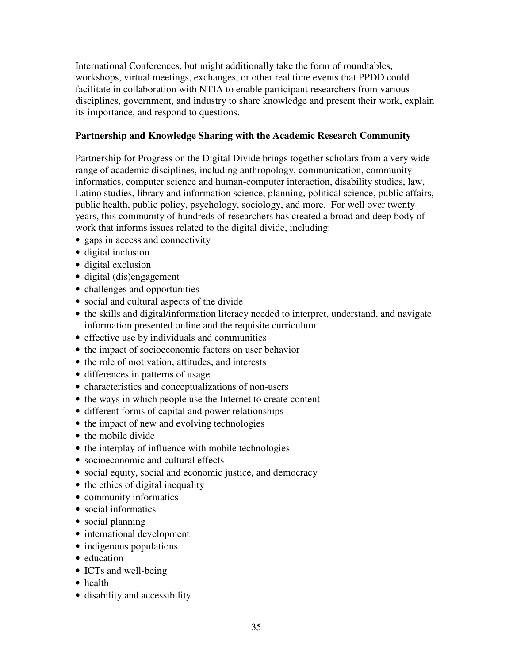International Conferences, but might additionally take the form of roundtables, workshops, virtual meetings, exchanges, or other real time events that PPDD could facilitate in collaboration with NTIA to enable participant researchers from various disciplines, government, and industry to share knowledge and present their work, explain its importance, and respond to questions.

# **Partnership and Knowledge Sharing with the Academic Research Community**

Partnership for Progress on the Digital Divide brings together scholars from a very wide range of academic disciplines, including anthropology, communication, community informatics, computer science and human-computer interaction, disability studies, law, Latino studies, library and information science, planning, political science, public affairs, public health, public policy, psychology, sociology, and more. For well over twenty years, this community of hundreds of researchers has created a broad and deep body of work that informs issues related to the digital divide, including:

- gaps in access and connectivity
- digital inclusion
- digital exclusion
- digital (dis)engagement
- challenges and opportunities
- social and cultural aspects of the divide
- the skills and digital/information literacy needed to interpret, understand, and navigate information presented online and the requisite curriculum
- effective use by individuals and communities
- the impact of socioeconomic factors on user behavior
- the role of motivation, attitudes, and interests
- differences in patterns of usage
- characteristics and conceptualizations of non-users
- the ways in which people use the Internet to create content
- different forms of capital and power relationships
- the impact of new and evolving technologies
- the mobile divide
- the interplay of influence with mobile technologies
- socioeconomic and cultural effects
- social equity, social and economic justice, and democracy
- the ethics of digital inequality
- community informatics
- social informatics
- social planning
- international development
- indigenous populations
- education
- ICTs and well-being
- health
- disability and accessibility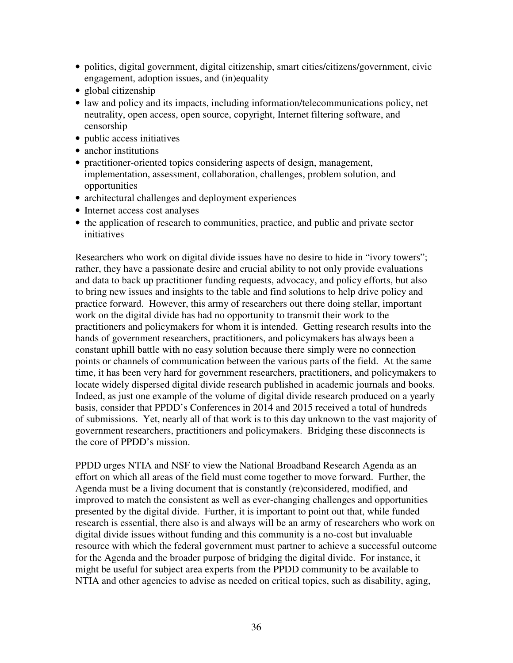- politics, digital government, digital citizenship, smart cities/citizens/government, civic engagement, adoption issues, and (in)equality
- global citizenship
- law and policy and its impacts, including information/telecommunications policy, net neutrality, open access, open source, copyright, Internet filtering software, and censorship
- public access initiatives
- anchor institutions
- practitioner-oriented topics considering aspects of design, management, implementation, assessment, collaboration, challenges, problem solution, and opportunities
- architectural challenges and deployment experiences
- Internet access cost analyses
- the application of research to communities, practice, and public and private sector initiatives

Researchers who work on digital divide issues have no desire to hide in "ivory towers"; rather, they have a passionate desire and crucial ability to not only provide evaluations and data to back up practitioner funding requests, advocacy, and policy efforts, but also to bring new issues and insights to the table and find solutions to help drive policy and practice forward. However, this army of researchers out there doing stellar, important work on the digital divide has had no opportunity to transmit their work to the practitioners and policymakers for whom it is intended. Getting research results into the hands of government researchers, practitioners, and policymakers has always been a constant uphill battle with no easy solution because there simply were no connection points or channels of communication between the various parts of the field. At the same time, it has been very hard for government researchers, practitioners, and policymakers to locate widely dispersed digital divide research published in academic journals and books. Indeed, as just one example of the volume of digital divide research produced on a yearly basis, consider that PPDD's Conferences in 2014 and 2015 received a total of hundreds of submissions. Yet, nearly all of that work is to this day unknown to the vast majority of government researchers, practitioners and policymakers. Bridging these disconnects is the core of PPDD's mission.

PPDD urges NTIA and NSF to view the National Broadband Research Agenda as an effort on which all areas of the field must come together to move forward. Further, the Agenda must be a living document that is constantly (re)considered, modified, and improved to match the consistent as well as ever-changing challenges and opportunities presented by the digital divide. Further, it is important to point out that, while funded research is essential, there also is and always will be an army of researchers who work on digital divide issues without funding and this community is a no-cost but invaluable resource with which the federal government must partner to achieve a successful outcome for the Agenda and the broader purpose of bridging the digital divide. For instance, it might be useful for subject area experts from the PPDD community to be available to NTIA and other agencies to advise as needed on critical topics, such as disability, aging,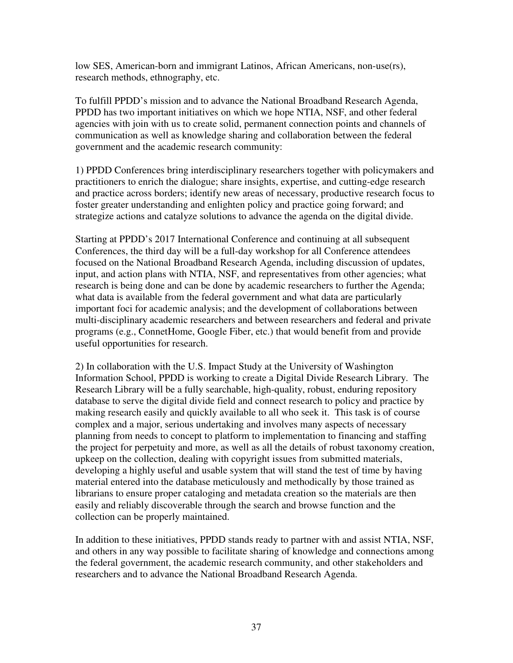low SES, American-born and immigrant Latinos, African Americans, non-use(rs), research methods, ethnography, etc.

To fulfill PPDD's mission and to advance the National Broadband Research Agenda, PPDD has two important initiatives on which we hope NTIA, NSF, and other federal agencies with join with us to create solid, permanent connection points and channels of communication as well as knowledge sharing and collaboration between the federal government and the academic research community:

1) PPDD Conferences bring interdisciplinary researchers together with policymakers and practitioners to enrich the dialogue; share insights, expertise, and cutting-edge research and practice across borders; identify new areas of necessary, productive research focus to foster greater understanding and enlighten policy and practice going forward; and strategize actions and catalyze solutions to advance the agenda on the digital divide.

Starting at PPDD's 2017 International Conference and continuing at all subsequent Conferences, the third day will be a full-day workshop for all Conference attendees focused on the National Broadband Research Agenda, including discussion of updates, input, and action plans with NTIA, NSF, and representatives from other agencies; what research is being done and can be done by academic researchers to further the Agenda; what data is available from the federal government and what data are particularly important foci for academic analysis; and the development of collaborations between multi-disciplinary academic researchers and between researchers and federal and private programs (e.g., ConnetHome, Google Fiber, etc.) that would benefit from and provide useful opportunities for research.

2) In collaboration with the U.S. Impact Study at the University of Washington Information School, PPDD is working to create a Digital Divide Research Library. The Research Library will be a fully searchable, high-quality, robust, enduring repository database to serve the digital divide field and connect research to policy and practice by making research easily and quickly available to all who seek it. This task is of course complex and a major, serious undertaking and involves many aspects of necessary planning from needs to concept to platform to implementation to financing and staffing the project for perpetuity and more, as well as all the details of robust taxonomy creation, upkeep on the collection, dealing with copyright issues from submitted materials, developing a highly useful and usable system that will stand the test of time by having material entered into the database meticulously and methodically by those trained as librarians to ensure proper cataloging and metadata creation so the materials are then easily and reliably discoverable through the search and browse function and the collection can be properly maintained.

In addition to these initiatives, PPDD stands ready to partner with and assist NTIA, NSF, and others in any way possible to facilitate sharing of knowledge and connections among the federal government, the academic research community, and other stakeholders and researchers and to advance the National Broadband Research Agenda.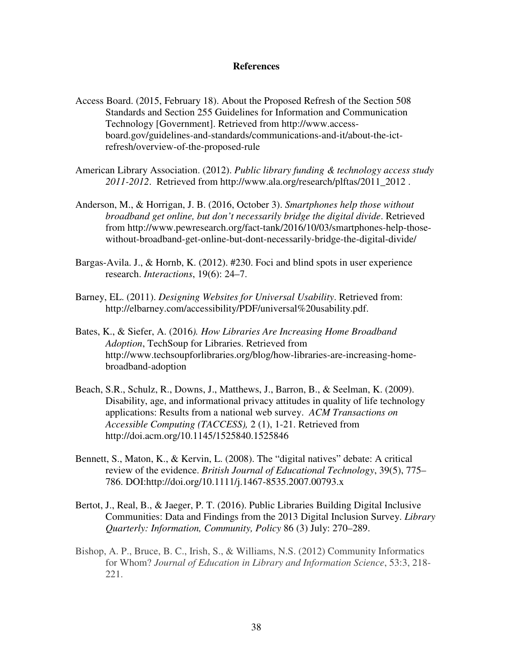#### **References**

- Access Board. (2015, February 18). About the Proposed Refresh of the Section 508 Standards and Section 255 Guidelines for Information and Communication Technology [Government]. Retrieved from http://www.accessboard.gov/guidelines-and-standards/communications-and-it/about-the-ictrefresh/overview-of-the-proposed-rule
- American Library Association. (2012). *Public library funding & technology access study 2011-2012*. Retrieved from http://www.ala.org/research/plftas/2011\_2012 .
- Anderson, M., & Horrigan, J. B. (2016, October 3). *Smartphones help those without broadband get online, but don't necessarily bridge the digital divide*. Retrieved from http://www.pewresearch.org/fact-tank/2016/10/03/smartphones-help-thosewithout-broadband-get-online-but-dont-necessarily-bridge-the-digital-divide/
- Bargas-Avila. J., & Hornb, K. (2012). #230. Foci and blind spots in user experience research. *Interactions*, 19(6): 24–7.
- Barney, EL. (2011). *Designing Websites for Universal Usability*. Retrieved from: http://elbarney.com/accessibility/PDF/universal%20usability.pdf.
- Bates, K., & Siefer, A. (2016*). How Libraries Are Increasing Home Broadband Adoption*, TechSoup for Libraries. Retrieved from http://www.techsoupforlibraries.org/blog/how-libraries-are-increasing-homebroadband-adoption
- Beach, S.R., Schulz, R., Downs, J., Matthews, J., Barron, B., & Seelman, K. (2009). Disability, age, and informational privacy attitudes in quality of life technology applications: Results from a national web survey. *ACM Transactions on Accessible Computing (TACCESS),* 2 (1), 1-21. Retrieved from http://doi.acm.org/10.1145/1525840.1525846
- Bennett, S., Maton, K., & Kervin, L. (2008). The "digital natives" debate: A critical review of the evidence. *British Journal of Educational Technology*, 39(5), 775– 786. DOI:http://doi.org/10.1111/j.1467-8535.2007.00793.x
- Bertot, J., Real, B., & Jaeger, P. T. (2016). Public Libraries Building Digital Inclusive Communities: Data and Findings from the 2013 Digital Inclusion Survey. *Library Quarterly: Information, Community, Policy* 86 (3) July: 270–289.
- Bishop, A. P., Bruce, B. C., Irish, S., & Williams, N.S. (2012) Community Informatics for Whom? *Journal of Education in Library and Information Science*, 53:3, 218- 221.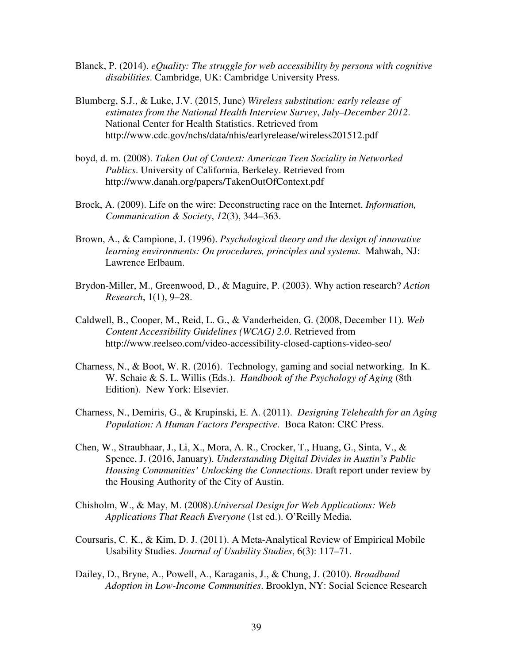- Blanck, P. (2014). *eQuality: The struggle for web accessibility by persons with cognitive disabilities*. Cambridge, UK: Cambridge University Press.
- Blumberg, S.J., & Luke, J.V. (2015, June) *Wireless substitution: early release of estimates from the National Health Interview Survey*, *July–December 2012*. National Center for Health Statistics. Retrieved from http://www.cdc.gov/nchs/data/nhis/earlyrelease/wireless201512.pdf
- boyd, d. m. (2008). *Taken Out of Context: American Teen Sociality in Networked Publics*. University of California, Berkeley. Retrieved from http://www.danah.org/papers/TakenOutOfContext.pdf
- Brock, A. (2009). Life on the wire: Deconstructing race on the Internet. *Information, Communication & Society*, *12*(3), 344–363.
- Brown, A., & Campione, J. (1996). *Psychological theory and the design of innovative learning environments: On procedures, principles and systems.* Mahwah, NJ: Lawrence Erlbaum.
- Brydon-Miller, M., Greenwood, D., & Maguire, P. (2003). Why action research? *Action Research*, 1(1), 9–28.
- Caldwell, B., Cooper, M., Reid, L. G., & Vanderheiden, G. (2008, December 11). *Web Content Accessibility Guidelines (WCAG) 2.0*. Retrieved from http://www.reelseo.com/video-accessibility-closed-captions-video-seo/
- Charness, N., & Boot, W. R. (2016). Technology, gaming and social networking. In K. W. Schaie & S. L. Willis (Eds.). *Handbook of the Psychology of Aging* (8th Edition). New York: Elsevier.
- Charness, N., Demiris, G., & Krupinski, E. A. (2011). *Designing Telehealth for an Aging Population: A Human Factors Perspective*. Boca Raton: CRC Press.
- Chen, W., Straubhaar, J., Li, X., Mora, A. R., Crocker, T., Huang, G., Sinta, V., & Spence, J. (2016, January). *Understanding Digital Divides in Austin's Public Housing Communities' Unlocking the Connections*. Draft report under review by the Housing Authority of the City of Austin.
- Chisholm, W., & May, M. (2008).*Universal Design for Web Applications: Web Applications That Reach Everyone* (1st ed.). O'Reilly Media.
- Coursaris, C. K., & Kim, D. J. (2011). A Meta-Analytical Review of Empirical Mobile Usability Studies. *Journal of Usability Studies*, 6(3): 117–71.
- Dailey, D., Bryne, A., Powell, A., Karaganis, J., & Chung, J. (2010). *Broadband Adoption in Low-Income Communities*. Brooklyn, NY: Social Science Research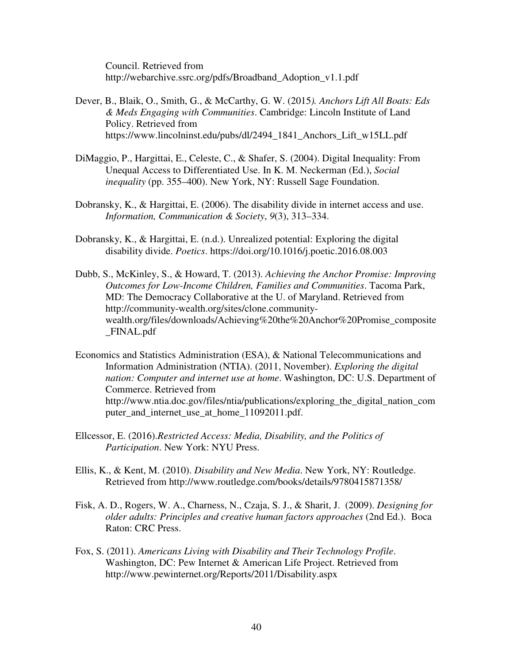Council. Retrieved from http://webarchive.ssrc.org/pdfs/Broadband\_Adoption\_v1.1.pdf

- Dever, B., Blaik, O., Smith, G., & McCarthy, G. W. (2015*). Anchors Lift All Boats: Eds & Meds Engaging with Communities*. Cambridge: Lincoln Institute of Land Policy. Retrieved from https://www.lincolninst.edu/pubs/dl/2494\_1841\_Anchors\_Lift\_w15LL.pdf
- DiMaggio, P., Hargittai, E., Celeste, C., & Shafer, S. (2004). Digital Inequality: From Unequal Access to Differentiated Use. In K. M. Neckerman (Ed.), *Social inequality* (pp. 355–400). New York, NY: Russell Sage Foundation.
- Dobransky, K., & Hargittai, E. (2006). The disability divide in internet access and use. *Information, Communication & Society*, *9*(3), 313–334.
- Dobransky, K., & Hargittai, E. (n.d.). Unrealized potential: Exploring the digital disability divide. *Poetics*. https://doi.org/10.1016/j.poetic.2016.08.003
- Dubb, S., McKinley, S., & Howard, T. (2013). *Achieving the Anchor Promise: Improving Outcomes for Low-Income Children, Families and Communities*. Tacoma Park, MD: The Democracy Collaborative at the U. of Maryland. Retrieved from http://community-wealth.org/sites/clone.communitywealth.org/files/downloads/Achieving%20the%20Anchor%20Promise\_composite \_FINAL.pdf
- Economics and Statistics Administration (ESA), & National Telecommunications and Information Administration (NTIA). (2011, November). *Exploring the digital nation: Computer and internet use at home*. Washington, DC: U.S. Department of Commerce. Retrieved from http://www.ntia.doc.gov/files/ntia/publications/exploring\_the\_digital\_nation\_com puter\_and\_internet\_use\_at\_home\_11092011.pdf.
- Ellcessor, E. (2016).*Restricted Access: Media, Disability, and the Politics of Participation*. New York: NYU Press.
- Ellis, K., & Kent, M. (2010). *Disability and New Media*. New York, NY: Routledge. Retrieved from http://www.routledge.com/books/details/9780415871358/
- Fisk, A. D., Rogers, W. A., Charness, N., Czaja, S. J., & Sharit, J. (2009). *Designing for older adults: Principles and creative human factors approaches* (2nd Ed.). Boca Raton: CRC Press.
- Fox, S. (2011). *Americans Living with Disability and Their Technology Profile*. Washington, DC: Pew Internet & American Life Project. Retrieved from http://www.pewinternet.org/Reports/2011/Disability.aspx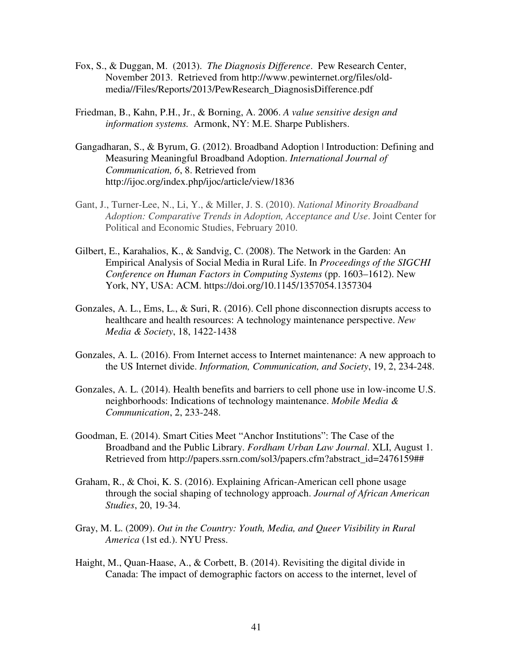- Fox, S., & Duggan, M. (2013). *The Diagnosis Difference*. Pew Research Center, November 2013. Retrieved from http://www.pewinternet.org/files/oldmedia//Files/Reports/2013/PewResearch\_DiagnosisDifference.pdf
- Friedman, B., Kahn, P.H., Jr., & Borning, A. 2006. *A value sensitive design and information systems.* Armonk, NY: M.E. Sharpe Publishers.
- Gangadharan, S., & Byrum, G. (2012). Broadband Adoption | Introduction: Defining and Measuring Meaningful Broadband Adoption. *International Journal of Communication, 6*, 8. Retrieved from http://ijoc.org/index.php/ijoc/article/view/1836
- Gant, J., Turner-Lee, N., Li, Y., & Miller, J. S. (2010). *National Minority Broadband Adoption: Comparative Trends in Adoption, Acceptance and Use*. Joint Center for Political and Economic Studies, February 2010.
- Gilbert, E., Karahalios, K., & Sandvig, C. (2008). The Network in the Garden: An Empirical Analysis of Social Media in Rural Life. In *Proceedings of the SIGCHI Conference on Human Factors in Computing Systems* (pp. 1603–1612). New York, NY, USA: ACM. https://doi.org/10.1145/1357054.1357304
- Gonzales, A. L., Ems, L., & Suri, R. (2016). Cell phone disconnection disrupts access to healthcare and health resources: A technology maintenance perspective. *New Media & Society*, 18, 1422-1438
- Gonzales, A. L. (2016). From Internet access to Internet maintenance: A new approach to the US Internet divide. *Information, Communication, and Society*, 19, 2, 234-248.
- Gonzales, A. L. (2014). Health benefits and barriers to cell phone use in low-income U.S. neighborhoods: Indications of technology maintenance. *Mobile Media & Communication*, 2, 233-248.
- Goodman, E. (2014). Smart Cities Meet "Anchor Institutions": The Case of the Broadband and the Public Library. *Fordham Urban Law Journal*. XLI, August 1. Retrieved from http://papers.ssrn.com/sol3/papers.cfm?abstract\_id=2476159##
- Graham, R., & Choi, K. S. (2016). Explaining African-American cell phone usage through the social shaping of technology approach. *Journal of African American Studies*, 20, 19-34.
- Gray, M. L. (2009). *Out in the Country: Youth, Media, and Queer Visibility in Rural America* (1st ed.). NYU Press.
- Haight, M., Quan-Haase, A., & Corbett, B. (2014). Revisiting the digital divide in Canada: The impact of demographic factors on access to the internet, level of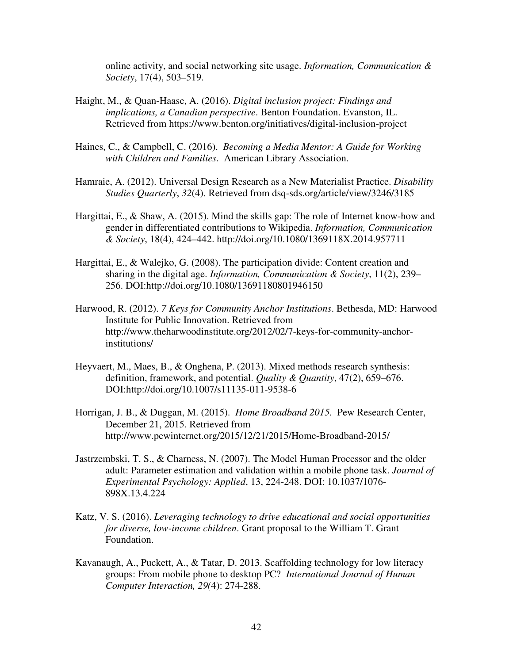online activity, and social networking site usage. *Information, Communication & Society*, 17(4), 503–519.

- Haight, M., & Quan-Haase, A. (2016). *Digital inclusion project: Findings and implications, a Canadian perspective*. Benton Foundation. Evanston, IL. Retrieved from https://www.benton.org/initiatives/digital-inclusion-project
- Haines, C., & Campbell, C. (2016). *Becoming a Media Mentor: A Guide for Working with Children and Families*. American Library Association.
- Hamraie, A. (2012). Universal Design Research as a New Materialist Practice. *Disability Studies Quarterly*, *32*(4). Retrieved from dsq-sds.org/article/view/3246/3185
- Hargittai, E., & Shaw, A. (2015). Mind the skills gap: The role of Internet know-how and gender in differentiated contributions to Wikipedia. *Information, Communication & Society*, 18(4), 424–442. http://doi.org/10.1080/1369118X.2014.957711
- Hargittai, E., & Walejko, G. (2008). The participation divide: Content creation and sharing in the digital age. *Information, Communication & Society*, 11(2), 239– 256. DOI:http://doi.org/10.1080/13691180801946150
- Harwood, R. (2012). *7 Keys for Community Anchor Institutions*. Bethesda, MD: Harwood Institute for Public Innovation. Retrieved from http://www.theharwoodinstitute.org/2012/02/7-keys-for-community-anchorinstitutions/
- Heyvaert, M., Maes, B., & Onghena, P. (2013). Mixed methods research synthesis: definition, framework, and potential. *Quality & Quantity*, 47(2), 659–676. DOI:http://doi.org/10.1007/s11135-011-9538-6
- Horrigan, J. B., & Duggan, M. (2015). *Home Broadband 2015.* Pew Research Center, December 21, 2015. Retrieved from http://www.pewinternet.org/2015/12/21/2015/Home-Broadband-2015/
- Jastrzembski, T. S., & Charness, N. (2007). The Model Human Processor and the older adult: Parameter estimation and validation within a mobile phone task. *Journal of Experimental Psychology: Applied*, 13, 224-248. DOI: 10.1037/1076- 898X.13.4.224
- Katz, V. S. (2016). *Leveraging technology to drive educational and social opportunities for diverse, low-income children*. Grant proposal to the William T. Grant Foundation.
- Kavanaugh, A., Puckett, A., & Tatar, D. 2013. Scaffolding technology for low literacy groups: From mobile phone to desktop PC? *International Journal of Human Computer Interaction, 29(*4): 274-288.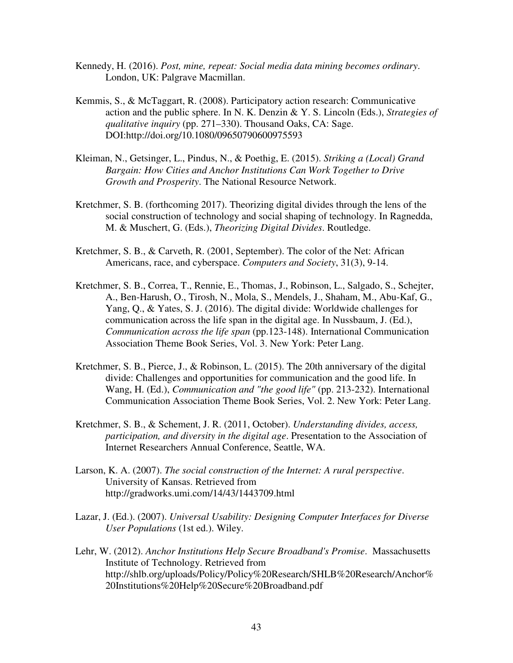- Kennedy, H. (2016). *Post, mine, repeat: Social media data mining becomes ordinary*. London, UK: Palgrave Macmillan.
- Kemmis, S., & McTaggart, R. (2008). Participatory action research: Communicative action and the public sphere. In N. K. Denzin & Y. S. Lincoln (Eds.), *Strategies of qualitative inquiry* (pp. 271–330). Thousand Oaks, CA: Sage. DOI:http://doi.org/10.1080/09650790600975593
- Kleiman, N., Getsinger, L., Pindus, N., & Poethig, E. (2015). *Striking a (Local) Grand Bargain: How Cities and Anchor Institutions Can Work Together to Drive Growth and Prosperity*. The National Resource Network.
- Kretchmer, S. B. (forthcoming 2017). Theorizing digital divides through the lens of the social construction of technology and social shaping of technology. In Ragnedda, M. & Muschert, G. (Eds.), *Theorizing Digital Divides*. Routledge.
- Kretchmer, S. B., & Carveth, R. (2001, September). The color of the Net: African Americans, race, and cyberspace. *Computers and Society*, 31(3), 9-14.
- Kretchmer, S. B., Correa, T., Rennie, E., Thomas, J., Robinson, L., Salgado, S., Schejter, A., Ben-Harush, O., Tirosh, N., Mola, S., Mendels, J., Shaham, M., Abu-Kaf, G., Yang, Q., & Yates, S. J. (2016). The digital divide: Worldwide challenges for communication across the life span in the digital age. In Nussbaum, J. (Ed.), *Communication across the life span* (pp.123-148). International Communication Association Theme Book Series, Vol. 3. New York: Peter Lang.
- Kretchmer, S. B., Pierce, J., & Robinson, L. (2015). The 20th anniversary of the digital divide: Challenges and opportunities for communication and the good life. In Wang, H. (Ed.), *Communication and "the good life"* (pp. 213-232). International Communication Association Theme Book Series, Vol. 2. New York: Peter Lang.
- Kretchmer, S. B., & Schement, J. R. (2011, October). *Understanding divides, access, participation, and diversity in the digital age*. Presentation to the Association of Internet Researchers Annual Conference, Seattle, WA.
- Larson, K. A. (2007). *The social construction of the Internet: A rural perspective*. University of Kansas. Retrieved from http://gradworks.umi.com/14/43/1443709.html
- Lazar, J. (Ed.). (2007). *Universal Usability: Designing Computer Interfaces for Diverse User Populations* (1st ed.). Wiley.
- Lehr, W. (2012). *Anchor Institutions Help Secure Broadband's Promise*. Massachusetts Institute of Technology. Retrieved from http://shlb.org/uploads/Policy/Policy%20Research/SHLB%20Research/Anchor% 20Institutions%20Help%20Secure%20Broadband.pdf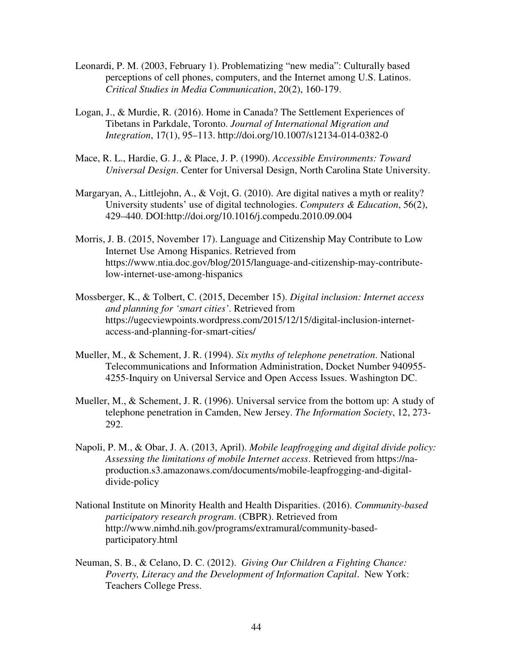- Leonardi, P. M. (2003, February 1). Problematizing "new media": Culturally based perceptions of cell phones, computers, and the Internet among U.S. Latinos. *Critical Studies in Media Communication*, 20(2), 160-179.
- Logan, J., & Murdie, R. (2016). Home in Canada? The Settlement Experiences of Tibetans in Parkdale, Toronto. *Journal of International Migration and Integration*, 17(1), 95–113. http://doi.org/10.1007/s12134-014-0382-0
- Mace, R. L., Hardie, G. J., & Place, J. P. (1990). *Accessible Environments: Toward Universal Design*. Center for Universal Design, North Carolina State University.
- Margaryan, A., Littlejohn, A., & Vojt, G. (2010). Are digital natives a myth or reality? University students' use of digital technologies. *Computers & Education*, 56(2), 429–440. DOI:http://doi.org/10.1016/j.compedu.2010.09.004
- Morris, J. B. (2015, November 17). Language and Citizenship May Contribute to Low Internet Use Among Hispanics. Retrieved from https://www.ntia.doc.gov/blog/2015/language-and-citizenship-may-contributelow-internet-use-among-hispanics
- Mossberger, K., & Tolbert, C. (2015, December 15). *Digital inclusion: Internet access and planning for 'smart cities'*. Retrieved from https://ugecviewpoints.wordpress.com/2015/12/15/digital-inclusion-internetaccess-and-planning-for-smart-cities/
- Mueller, M., & Schement, J. R. (1994). *Six myths of telephone penetration*. National Telecommunications and Information Administration, Docket Number 940955- 4255-Inquiry on Universal Service and Open Access Issues. Washington DC.
- Mueller, M., & Schement, J. R. (1996). Universal service from the bottom up: A study of telephone penetration in Camden, New Jersey. *The Information Society*, 12, 273- 292.
- Napoli, P. M., & Obar, J. A. (2013, April). *Mobile leapfrogging and digital divide policy: Assessing the limitations of mobile Internet access*. Retrieved from https://naproduction.s3.amazonaws.com/documents/mobile-leapfrogging-and-digitaldivide-policy
- National Institute on Minority Health and Health Disparities. (2016). *Community-based participatory research program*. (CBPR). Retrieved from http://www.nimhd.nih.gov/programs/extramural/community-basedparticipatory.html
- Neuman, S. B., & Celano, D. C. (2012). *Giving Our Children a Fighting Chance: Poverty, Literacy and the Development of Information Capital*. New York: Teachers College Press.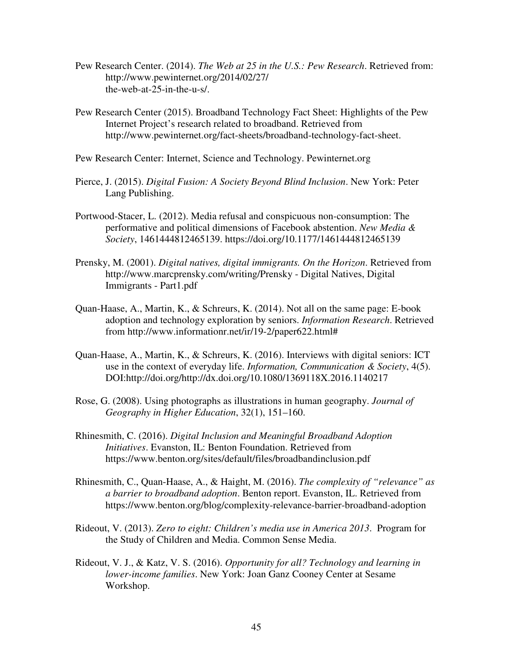- Pew Research Center. (2014). *The Web at 25 in the U.S.: Pew Research*. Retrieved from: http://www.pewinternet.org/2014/02/27/ the-web-at-25-in-the-u-s/.
- Pew Research Center (2015). Broadband Technology Fact Sheet: Highlights of the Pew Internet Project's research related to broadband. Retrieved from http://www.pewinternet.org/fact-sheets/broadband-technology-fact-sheet.
- Pew Research Center: Internet, Science and Technology. Pewinternet.org
- Pierce, J. (2015). *Digital Fusion: A Society Beyond Blind Inclusion*. New York: Peter Lang Publishing.
- Portwood-Stacer, L. (2012). Media refusal and conspicuous non-consumption: The performative and political dimensions of Facebook abstention. *New Media & Society*, 1461444812465139. https://doi.org/10.1177/1461444812465139
- Prensky, M. (2001). *Digital natives, digital immigrants. On the Horizon*. Retrieved from http://www.marcprensky.com/writing/Prensky - Digital Natives, Digital Immigrants - Part1.pdf
- Quan-Haase, A., Martin, K., & Schreurs, K. (2014). Not all on the same page: E-book adoption and technology exploration by seniors. *Information Research*. Retrieved from http://www.informationr.net/ir/19-2/paper622.html#
- Quan-Haase, A., Martin, K., & Schreurs, K. (2016). Interviews with digital seniors: ICT use in the context of everyday life. *Information, Communication & Society*, 4(5). DOI:http://doi.org/http://dx.doi.org/10.1080/1369118X.2016.1140217
- Rose, G. (2008). Using photographs as illustrations in human geography. *Journal of Geography in Higher Education*, 32(1), 151–160.
- Rhinesmith, C. (2016). *Digital Inclusion and Meaningful Broadband Adoption Initiatives*. Evanston, IL: Benton Foundation. Retrieved from https://www.benton.org/sites/default/files/broadbandinclusion.pdf
- Rhinesmith, C., Quan-Haase, A., & Haight, M. (2016). *The complexity of "relevance" as a barrier to broadband adoption*. Benton report. Evanston, IL. Retrieved from https://www.benton.org/blog/complexity-relevance-barrier-broadband-adoption
- Rideout, V. (2013). *Zero to eight: Children's media use in America 2013*. Program for the Study of Children and Media. Common Sense Media.
- Rideout, V. J., & Katz, V. S. (2016). *Opportunity for all? Technology and learning in lower-income families*. New York: Joan Ganz Cooney Center at Sesame Workshop.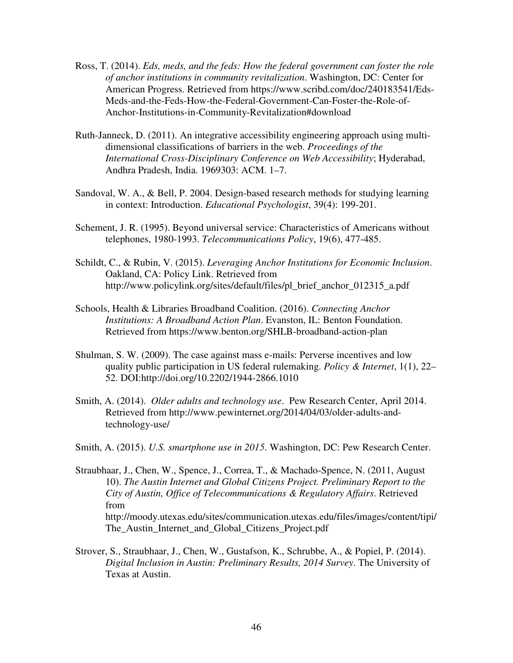- Ross, T. (2014). *Eds, meds, and the feds: How the federal government can foster the role of anchor institutions in community revitalization*. Washington, DC: Center for American Progress. Retrieved from https://www.scribd.com/doc/240183541/Eds-Meds-and-the-Feds-How-the-Federal-Government-Can-Foster-the-Role-of-Anchor-Institutions-in-Community-Revitalization#download
- Ruth-Janneck, D. (2011). An integrative accessibility engineering approach using multidimensional classifications of barriers in the web. *Proceedings of the International Cross-Disciplinary Conference on Web Accessibility*; Hyderabad, Andhra Pradesh, India. 1969303: ACM. 1–7.
- Sandoval, W. A., & Bell, P. 2004. Design-based research methods for studying learning in context: Introduction. *Educational Psychologist*, 39(4): 199-201.
- Schement, J. R. (1995). Beyond universal service: Characteristics of Americans without telephones, 1980-1993. *Telecommunications Policy*, 19(6), 477-485.
- Schildt, C., & Rubin, V. (2015). *Leveraging Anchor Institutions for Economic Inclusion*. Oakland, CA: Policy Link. Retrieved from http://www.policylink.org/sites/default/files/pl\_brief\_anchor\_012315\_a.pdf
- Schools, Health & Libraries Broadband Coalition. (2016). *Connecting Anchor Institutions: A Broadband Action Plan*. Evanston, IL: Benton Foundation. Retrieved from https://www.benton.org/SHLB-broadband-action-plan
- Shulman, S. W. (2009). The case against mass e-mails: Perverse incentives and low quality public participation in US federal rulemaking. *Policy & Internet*, 1(1), 22– 52. DOI:http://doi.org/10.2202/1944-2866.1010
- Smith, A. (2014). *Older adults and technology use*. Pew Research Center, April 2014. Retrieved from http://www.pewinternet.org/2014/04/03/older-adults-andtechnology-use/
- Smith, A. (2015). *U.S. smartphone use in 2015*. Washington, DC: Pew Research Center.
- Straubhaar, J., Chen, W., Spence, J., Correa, T., & Machado-Spence, N. (2011, August 10). *The Austin Internet and Global Citizens Project. Preliminary Report to the City of Austin, Office of Telecommunications & Regulatory Affairs*. Retrieved from http://moody.utexas.edu/sites/communication.utexas.edu/files/images/content/tipi/ The\_Austin\_Internet\_and\_Global\_Citizens\_Project.pdf
- Strover, S., Straubhaar, J., Chen, W., Gustafson, K., Schrubbe, A., & Popiel, P. (2014). *Digital Inclusion in Austin: Preliminary Results, 2014 Survey*. The University of Texas at Austin.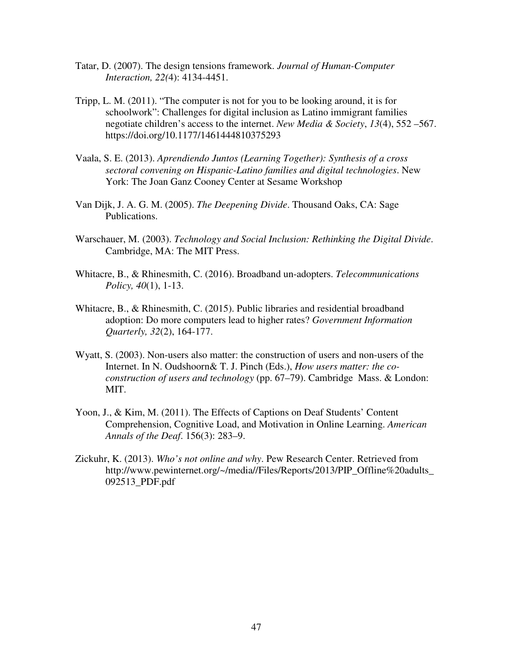- Tatar, D. (2007). The design tensions framework. *Journal of Human-Computer Interaction, 22(*4): 4134-4451.
- Tripp, L. M. (2011). "The computer is not for you to be looking around, it is for schoolwork": Challenges for digital inclusion as Latino immigrant families negotiate children's access to the internet. *New Media & Society*, *13*(4), 552 –567. https://doi.org/10.1177/1461444810375293
- Vaala, S. E. (2013). *Aprendiendo Juntos (Learning Together): Synthesis of a cross sectoral convening on Hispanic-Latino families and digital technologies*. New York: The Joan Ganz Cooney Center at Sesame Workshop
- Van Dijk, J. A. G. M. (2005). *The Deepening Divide*. Thousand Oaks, CA: Sage Publications.
- Warschauer, M. (2003). *Technology and Social Inclusion: Rethinking the Digital Divide*. Cambridge, MA: The MIT Press.
- Whitacre, B., & Rhinesmith, C. (2016). Broadband un-adopters. *Telecommunications Policy, 40*(1), 1-13.
- Whitacre, B., & Rhinesmith, C. (2015). Public libraries and residential broadband adoption: Do more computers lead to higher rates? *Government Information Quarterly, 32*(2), 164-177.
- Wyatt, S. (2003). Non-users also matter: the construction of users and non-users of the Internet. In N. Oudshoorn& T. J. Pinch (Eds.), *How users matter: the coconstruction of users and technology* (pp. 67–79). Cambridge Mass. & London: MIT.
- Yoon, J., & Kim, M. (2011). The Effects of Captions on Deaf Students' Content Comprehension, Cognitive Load, and Motivation in Online Learning. *American Annals of the Deaf*. 156(3): 283–9.
- Zickuhr, K. (2013). *Who's not online and why*. Pew Research Center. Retrieved from http://www.pewinternet.org/~/media//Files/Reports/2013/PIP\_Offline%20adults 092513\_PDF.pdf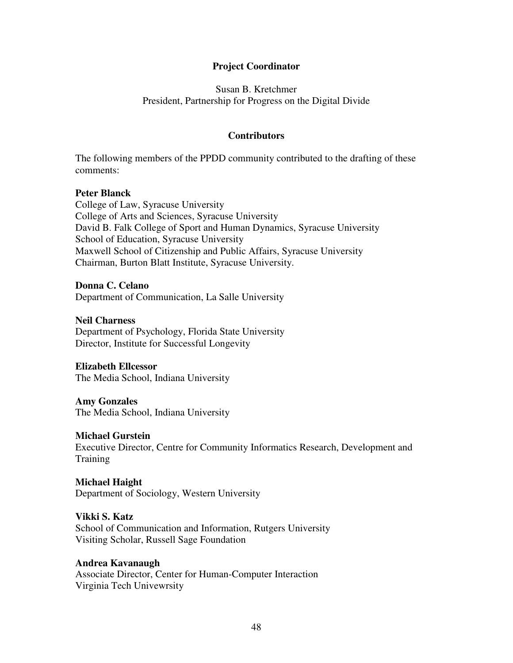## **Project Coordinator**

## Susan B. Kretchmer President, Partnership for Progress on the Digital Divide

#### **Contributors**

The following members of the PPDD community contributed to the drafting of these comments:

#### **Peter Blanck**

College of Law, Syracuse University College of Arts and Sciences, Syracuse University David B. Falk College of Sport and Human Dynamics, Syracuse University School of Education, Syracuse University Maxwell School of Citizenship and Public Affairs, Syracuse University Chairman, Burton Blatt Institute, Syracuse University.

#### **Donna C. Celano**

Department of Communication, La Salle University

#### **Neil Charness**

Department of Psychology, Florida State University Director, Institute for Successful Longevity

#### **Elizabeth Ellcessor**

The Media School, Indiana University

#### **Amy Gonzales**

The Media School, Indiana University

#### **Michael Gurstein**

Executive Director, Centre for Community Informatics Research, Development and Training

#### **Michael Haight**

Department of Sociology, Western University

#### **Vikki S. Katz**

School of Communication and Information, Rutgers University Visiting Scholar, Russell Sage Foundation

#### **Andrea Kavanaugh**

Associate Director, Center for Human-Computer Interaction Virginia Tech Univewrsity